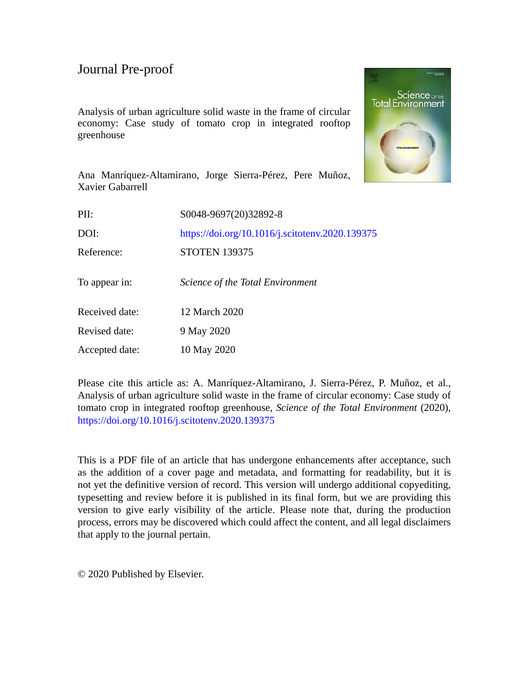Analysis of urban agriculture solid waste in the frame of circular economy: Case study of tomato crop in integrated rooftop greenhouse



Ana Manríquez-Altamirano, Jorge Sierra-Pérez, Pere Muñoz, Xavier Gabarrell

| PII:           | S0048-9697(20)32892-8                           |
|----------------|-------------------------------------------------|
| DOI:           | https://doi.org/10.1016/j.scitotenv.2020.139375 |
| Reference:     | <b>STOTEN 139375</b>                            |
| To appear in:  | Science of the Total Environment                |
| Received date: | 12 March 2020                                   |
| Revised date:  | 9 May 2020                                      |
| Accepted date: | 10 May 2020                                     |
|                |                                                 |

Please cite this article as: A. Manríquez-Altamirano, J. Sierra-Pérez, P. Muñoz, et al., Analysis of urban agriculture solid waste in the frame of circular economy: Case study of tomato crop in integrated rooftop greenhouse, *Science of the Total Environment* (2020), <https://doi.org/10.1016/j.scitotenv.2020.139375>

This is a PDF file of an article that has undergone enhancements after acceptance, such as the addition of a cover page and metadata, and formatting for readability, but it is not yet the definitive version of record. This version will undergo additional copyediting, typesetting and review before it is published in its final form, but we are providing this version to give early visibility of the article. Please note that, during the production process, errors may be discovered which could affect the content, and all legal disclaimers that apply to the journal pertain.

© 2020 Published by Elsevier.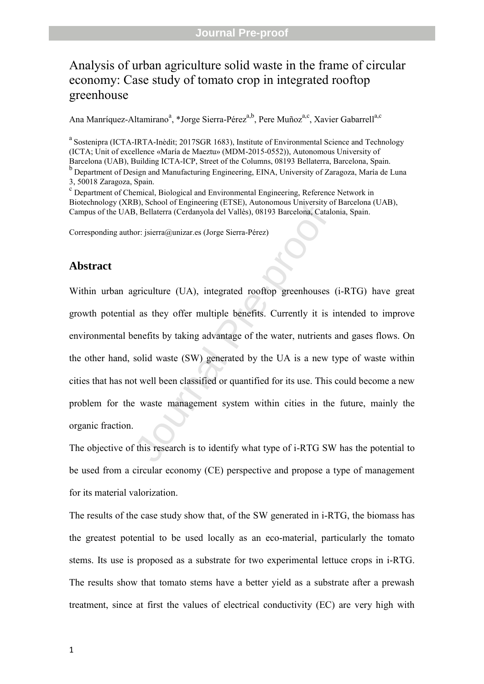# Analysis of urban agriculture solid waste in the frame of circular economy: Case study of tomato crop in integrated rooftop greenhouse

Ana Manríquez-Altamirano<sup>a</sup>, \*Jorge Sierra-Pérez<sup>a,b</sup>, Pere Muñoz<sup>a,c</sup>, Xavier Gabarrell<sup>a,c</sup>

<sup>a</sup> Sostenipra (ICTA-IRTA-Inèdit; 2017SGR 1683), Institute of Environmental Science and Technology (ICTA; Unit of excellence «María de Maeztu» (MDM-2015-0552)), Autonomous University of Barcelona (UAB), Building ICTA-ICP, Street of the Columns, 08193 Bellaterra, Barcelona, Spain. b Department of Design and Manufacturing Engineering, EINA, University of Zaragoza, María de Luna 3, 50018 Zaragoza, Spain.

 Department of Chemical, Biological and Environmental Engineering, Reference Network in Biotechnology (XRB), School of Engineering (ETSE), Autonomous University of Barcelona (UAB), Campus of the UAB, Bellaterra (Cerdanyola del Vallès), 08193 Barcelona, Catalonia, Spain.

Corresponding author: jsierra@unizar.es (Jorge Sierra-Pérez)

#### **Abstract**

D, Suboor or Engineering (ETSE), Adolonso Survessity of B, Bellaterra (Cerdanyola del Vallès), 08193 Barcelona, Catale<br>or: jsierra@unizar.es (Jorge Sierra-Pérez)<br>griculture (UA), integrated rooftop greenhouses<br>1 as they of Within urban agriculture (UA), integrated rooftop greenhouses (i-RTG) have great growth potential as they offer multiple benefits. Currently it is intended to improve environmental benefits by taking advantage of the water, nutrients and gases flows. On the other hand, solid waste (SW) generated by the UA is a new type of waste within cities that has not well been classified or quantified for its use. This could become a new problem for the waste management system within cities in the future, mainly the organic fraction.

The objective of this research is to identify what type of i-RTG SW has the potential to be used from a circular economy (CE) perspective and propose a type of management for its material valorization.

The results of the case study show that, of the SW generated in i-RTG, the biomass has the greatest potential to be used locally as an eco-material, particularly the tomato stems. Its use is proposed as a substrate for two experimental lettuce crops in i-RTG. The results show that tomato stems have a better yield as a substrate after a prewash treatment, since at first the values of electrical conductivity (EC) are very high with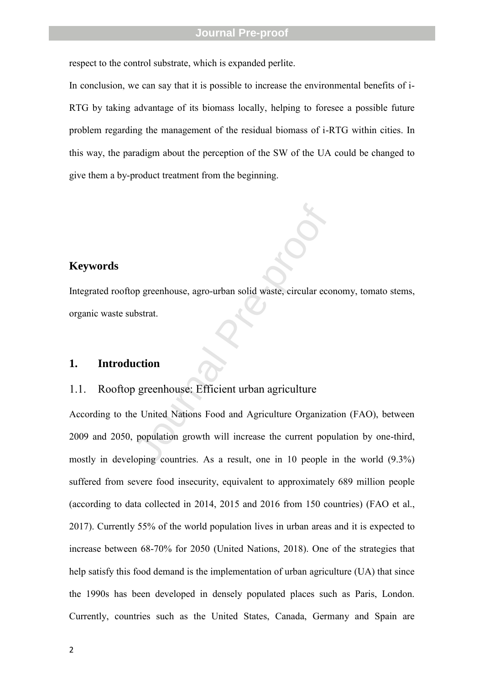respect to the control substrate, which is expanded perlite.

In conclusion, we can say that it is possible to increase the environmental benefits of i-RTG by taking advantage of its biomass locally, helping to foresee a possible future problem regarding the management of the residual biomass of i-RTG within cities. In this way, the paradigm about the perception of the SW of the UA could be changed to give them a by-product treatment from the beginning.

#### **Keywords**

Integrated rooftop greenhouse, agro-urban solid waste, circular economy, tomato stems, organic waste substrat.

#### **1. Introduction**

#### 1.1. Rooftop greenhouse: Efficient urban agriculture

op greenhouse, agro-urban solid waste, circular econdustrat.<br> **Explorition**<br> **Superchouse:** Efficient urban agriculture<br>
e United Nations Food and Agriculture Organizat<br>
population growth will increase the current populopi According to the United Nations Food and Agriculture Organization (FAO), between 2009 and 2050, population growth will increase the current population by one-third, mostly in developing countries. As a result, one in 10 people in the world (9.3%) suffered from severe food insecurity, equivalent to approximately 689 million people (according to data collected in 2014, 2015 and 2016 from 150 countries) (FAO et al., 2017). Currently 55% of the world population lives in urban areas and it is expected to increase between 68-70% for 2050 (United Nations, 2018). One of the strategies that help satisfy this food demand is the implementation of urban agriculture (UA) that since the 1990s has been developed in densely populated places such as Paris, London. Currently, countries such as the United States, Canada, Germany and Spain are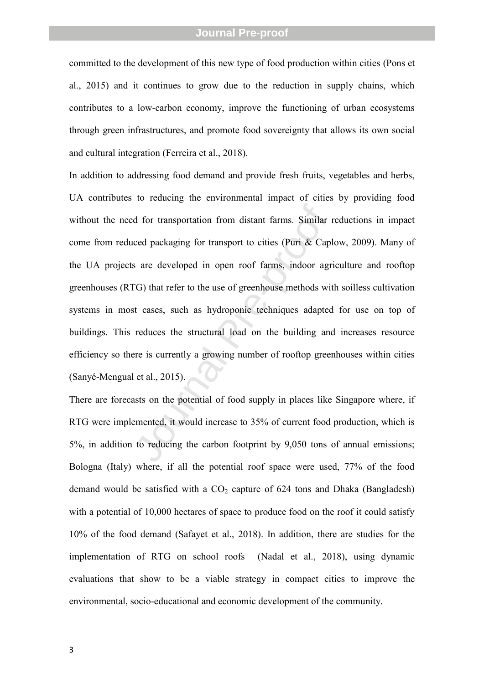committed to the development of this new type of food production within cities (Pons et al., 2015) and it continues to grow due to the reduction in supply chains, which contributes to a low-carbon economy, improve the functioning of urban ecosystems through green infrastructures, and promote food sovereignty that allows its own social and cultural integration (Ferreira et al., 2018). In addition to addressing food demand and provide fresh fruits, vegetables and herbs,

d for transportation from distant farms. Similar 1<br>ceed packaging for transport to cities (Puri & Capl<br>s are developed in open roof farms, indoor agr<br>G) that refer to the use of greenhouse methods wit<br>st cases, such as hyd UA contributes to reducing the environmental impact of cities by providing food without the need for transportation from distant farms. Similar reductions in impact come from reduced packaging for transport to cities (Puri & Caplow, 2009). Many of the UA projects are developed in open roof farms, indoor agriculture and rooftop greenhouses (RTG) that refer to the use of greenhouse methods with soilless cultivation systems in most cases, such as hydroponic techniques adapted for use on top of buildings. This reduces the structural load on the building and increases resource efficiency so there is currently a growing number of rooftop greenhouses within cities (Sanyé-Mengual et al., 2015).

There are forecasts on the potential of food supply in places like Singapore where, if RTG were implemented, it would increase to 35% of current food production, which is 5%, in addition to reducing the carbon footprint by 9,050 tons of annual emissions; Bologna (Italy) where, if all the potential roof space were used, 77% of the food demand would be satisfied with a CO <sup>2</sup> capture of 624 tons and Dhaka (Bangladesh) with a potential of 10,000 hectares of space to produce food on the roof it could satisfy 10% of the food demand (Safayet et al., 2018). In addition, there are studies for the implementation of RTG on school roofs (Nadal et al., 2018), using dynamic evaluations that show to be a viable strategy in compact cities to improve the environmental, socio-educational and economic development of the community.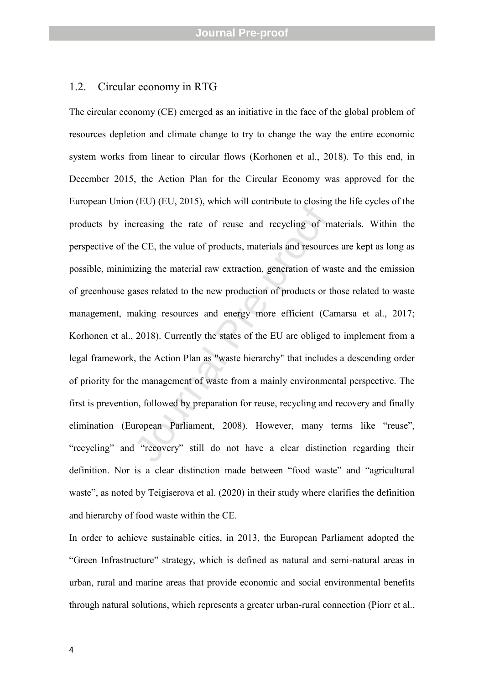#### 1.2. Circular economy in RTG

reasing the rate of reuse and recycling of m<br>e CE, the value of products, materials and resource<br>izing the material raw extraction, generation of wa<br>ases related to the new production of products or th<br>aking resources and The circular economy (CE) emerged as an initiative in the face of the global problem of resources depletion and climate change to try to change the way the entire economic system works from linear to circular flows (Korhonen et al., 2018). To this end, in December 2015, the Action Plan for the Circular Economy was approved for the European Union (EU) (EU, 2015), which will contribute to closing the life cycles of the products by increasing the rate of reuse and recycling of materials. Within the perspective of the CE, the value of products, materials and resources are kept as long as possible, minimizing the material raw extraction, generation of waste and the emission of greenhouse gases related to the new production of products or those related to waste management, making resources and energy more efficient (Camarsa et al., 2017; Korhonen et al., 2018). Currently the states of the EU are obliged to implement from a legal framework, the Action Plan as "waste hierarchy" that includes a descending order of priority for the management of waste from a mainly environmental perspective. The first is prevention, followed by preparation for reuse, recycling and recovery and finally elimination (European Parliament, 2008). However, many terms like "reuse", "recycling" and "recovery" still do not have a clear distinction regarding their definition. Nor is a clear distinction made between "food waste" and "agricultural waste", as noted by Teigiserova et al. (2020) in their study where clarifies the definition and hierarchy of food waste within the CE.<br>In order to achieve sustainable cities, in 2013, the European Parliament adopted the

"Green Infrastructure" strategy, which is defined as natural and semi-natural areas in urban, rural and marine areas that provide economic and social environmental benefits through natural solutions, which represents a greater urban-rural connection (Piorr et al.,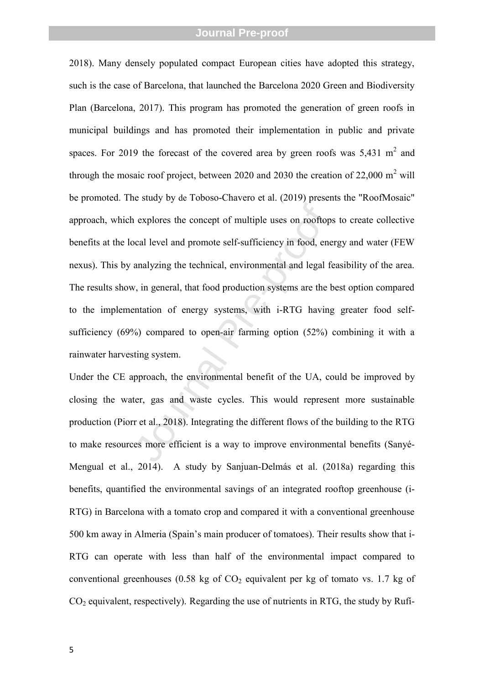is explores the concept of multiple uses on rooftop-<br>
social level and promote self-sufficiency in food, ene<br>
analyzing the technical, environmental and legal fe<br>
w, in general, that food production systems are the b<br>
enta 2018). Many densely populated compact European cities have adopted this strategy, such is the case of Barcelona, that launched the Barcelona 2020 Green and Biodiversity Plan (Barcelona, 2017). This program has promoted the generation of green roofs in municipal buildings and has promoted their implementation in public and private spaces. For 2019 the forecast of the covered area by green roofs was  $5,431 \text{ m}^2$  and through the mosaic roof project, between 2020 and 2030 the creation of 22,000  $m^2$  will be promoted. The study by de Toboso-Chavero et al. (2019) presents the "RoofMosaic" approach, which explores the concept of multiple uses on rooftops to create collective benefits at the local level and promote self-sufficiency in food, energy and water (FEW nexus). This by analyzing the technical, environmental and legal feasibility of the area. The results show, in general, that food production systems are the best option compared to the implementation of energy systems, with i-RTG having greater food selfsufficiency (69%) compared to open-air farming option (52%) combining it with a rainwater harvesting system.

Under the CE approach, the environmental benefit of the UA, could be improved by closing the water, gas and waste cycles. This would represent more sustainable production (Piorr et al., 2018). Integrating the different flows of the building to the RTG to make resources more efficient is a way to improve environmental benefits (Sanyé-Mengual et al., 2014). A study by Sanjuan-Delmás et al. (2018a) regarding this benefits, quantified the environmental savings of an integrated rooftop greenhouse (i- RTG) in Barcelona with a tomato crop and compared it with a conventional greenhouse 500 km away in Almeria (Spain's main producer of tomatoes). Their results show that i-RTG can operate with less than half of the environmental impact compared to conventional greenhouses (0.58 kg of  $CO<sub>2</sub>$  equivalent per kg of tomato vs. 1.7 kg of CO <sup>2</sup> equivalent, respectively). Regarding the use of nutrients in RTG, the study by Rufí-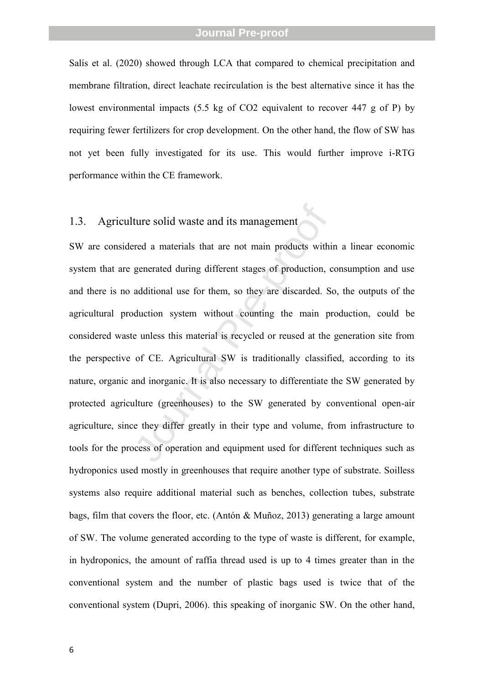Salís et al. (2020) showed through LCA that compared to chemical precipitation and membrane filtration, direct leachate recirculation is the best alternative since it has the lowest environmental impacts (5.5 kg of CO2 equivalent to recover 447 g of P) by requiring fewer fertilizers for crop development. On the other hand, the flow of SW has not yet been fully investigated for its use. This would further improve i-RTG performance within the CE framework.

#### 1.3. Agriculture solid waste and its management

ture solid waste and its management<br>
red a materials that are not main products withi<br>
generated during different stages of production, c<br>
additional use for them, so they are discarded. So<br>
duction system without counting SW are considered a materials that are not main products within a linear economic system that are generated during different stages of production, consumption and use and there is no additional use for them, so they are discarded. So, the outputs of the agricultural production system without counting the main production, could be considered waste unless this material is recycled or reused at the generation site from the perspective of CE. Agricultural SW is traditionally classified, according to its nature, organic and inorganic. It is also necessary to differentiate the SW generated by protected agriculture (greenhouses) to the SW generated by conventional open-air agriculture, since they differ greatly in their type and volume, from infrastructure to tools for the process of operation and equipment used for different techniques such as hydroponics used mostly in greenhouses that require another type of substrate. Soilless systems also require additional material such as benches, collection tubes, substrate bags, film that covers the floor, etc. (Antón & Muñoz, 2013) generating a large amount of SW. The volume generated according to the type of waste is different, for example, in hydroponics, the amount of raffia thread used is up to 4 times greater than in the conventional system and the number of plastic bags used is twice that of the conventional system (Dupri, 2006). this speaking of inorganic SW. On the other hand,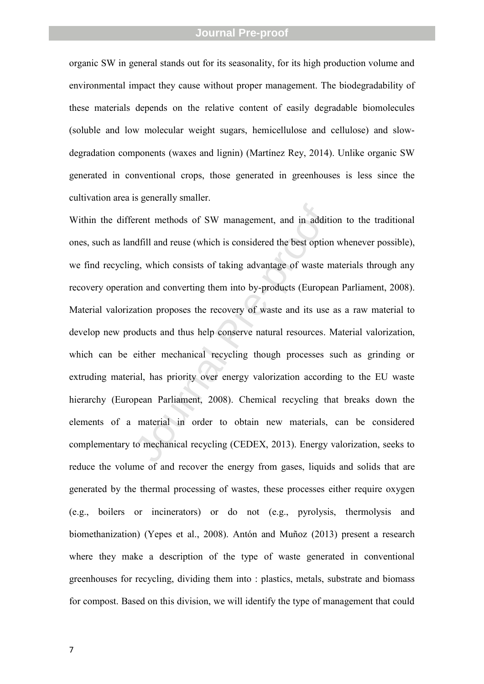organic SW in general stands out for its seasonality, for its high production volume and environmental impact they cause without proper management. The biodegradability of these materials depends on the relative content of easily degradable biomolecules (soluble and low molecular weight sugars, hemicellulose and cellulose) and slowdegradation components (waxes and lignin) (Martínez Rey, 2014). Unlike organic SW generated in conventional crops, those generated in greenhouses is less since the cultivation area is generally smaller.

erent methods of SW management, and in additioned and<br>indfill and reuse (which is considered the best option<br>ng, which consists of taking advantage of waste m<br>on and converting them into by-products (Europea<br>ation proposes Within the different methods of SW management, and in addition to the traditional ones, such as landfill and reuse (which is considered the best option whenever possible), we find recycling, which consists of taking advantage of waste materials through any recovery operation and converting them into by-products (European Parliament, 2008). Material valorization proposes the recovery of waste and its use as a raw material to develop new products and thus help conserve natural resources. Material valorization, which can be either mechanical recycling though processes such as grinding or extruding material, has priority over energy valorization according to the EU waste hierarchy (European Parliament, 2008). Chemical recycling that breaks down the elements of a material in order to obtain new materials, can be considered complementary to mechanical recycling (CEDEX, 2013). Energy valorization, seeks to reduce the volume of and recover the energy from gases, liquids and solids that are generated by the thermal processing of wastes, these processes either require oxygen (e.g., boilers or incinerators) or do not (e.g., pyrolysis, thermolysis and biomethanization) (Yepes et al., 2008). Antón and Muñoz (2013) present a research where they make a description of the type of waste generated in conventional greenhouses for recycling, dividing them into : plastics, metals, substrate and biomass for compost. Based on this division, we will identify the type of management that could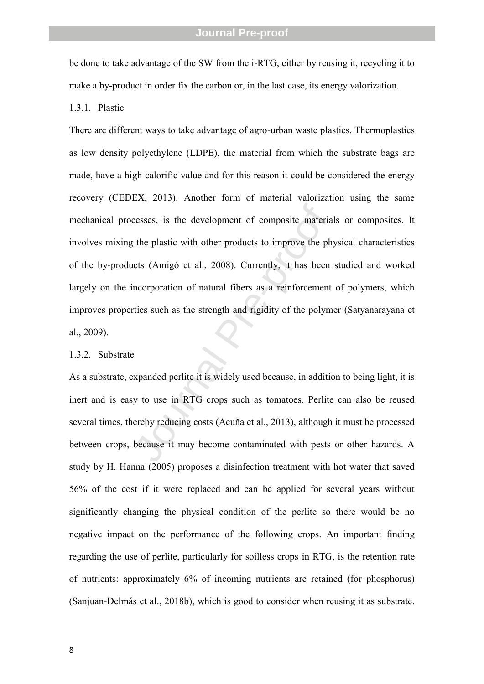be done to take advantage of the SW from the i-RTG, either by reusing it, recycling it to make a by-product in order fix the carbon or, in the last case, its energy valorization.

1.3.1. Plastic

cesses, is the development of composite materia<br>
the plastic with other products to improve the ph<br>
tets (Amigó et al., 2008). Currently, it has been<br>
necorporation of natural fibers as a reinforcement<br>
ties such as the st There are different ways to take advantage of agro-urban waste plastics. Thermoplastics as low density polyethylene (LDPE), the material from which the substrate bags are made, have a high calorific value and for this reason it could be considered the energy recovery (CEDEX, 2013). Another form of material valorization using the same mechanical processes, is the development of composite materials or composites. It involves mixing the plastic with other products to improve the physical characteristics of the by-products (Amigó et al., 2008). Currently, it has been studied and worked largely on the incorporation of natural fibers as a reinforcement of polymers, which improves properties such as the strength and rigidity of the polymer (Satyanarayana et al., 2009).

#### 1.3.2. Substrate

As a substrate, expanded perlite it is widely used because, in addition to being light, it is inert and is easy to use in RTG crops such as tomatoes. Perlite can also be reused several times, thereby reducing costs (Acuña et al., 2013), although it must be processed between crops, because it may become contaminated with pests or other hazards. A study by H. Hanna (2005) proposes a disinfection treatment with hot water that saved 56% of the cost if it were replaced and can be applied for several years without significantly changing the physical condition of the perlite so there would be no negative impact on the performance of the following crops. An important finding regarding the use of perlite, particularly for soilless crops in RTG, is the retention rate of nutrients: approximately 6% of incoming nutrients are retained (for phosphorus) (Sanjuan-Delmás et al., 2018b), which is good to consider when reusing it as substrate.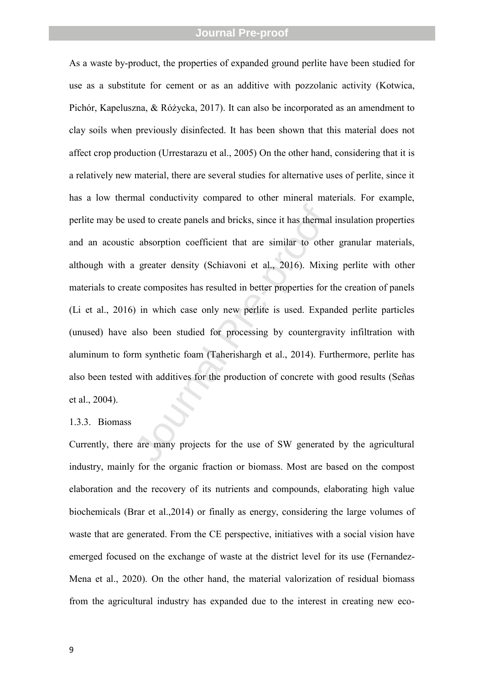sed to create panels and bricks, since it has thermal<br>
2 absorption coefficient that are similar to other<br>
1 greater density (Schiavoni et al., 2016). Mixin<br>
1 te composites has resulted in better properties for t<br>
1 in wh As a waste by-product, the properties of expanded ground perlite have been studied for use as a substitute for cement or as an additive with pozzolanic activity (Kotwica, Pichór, Kapeluszna, & Różycka, 2017). It can also be incorporated as an amendment to clay soils when previously disinfected. It has been shown that this material does not affect crop production (Urrestarazu et al., 2005) On the other hand, considering that it is a relatively new material, there are several studies for alternative uses of perlite, since it has a low thermal conductivity compared to other mineral materials. For example, perlite may be used to create panels and bricks, since it has thermal insulation properties and an acoustic absorption coefficient that are similar to other granular materials, although with a greater density (Schiavoni et al., 2016). Mixing perlite with other materials to create composites has resulted in better properties for the creation of panels (Li et al., 2016) in which case only new perlite is used. Expanded perlite particles (unused) have also been studied for processing by countergravity infiltration with aluminum to form synthetic foam (Taherishargh et al., 2014). Furthermore, perlite has also been tested with additives for the production of concrete with good results (Señas et al., 2004).

#### 1.3.3. Biomass

Currently, there are many projects for the use of SW generated by the agricultural industry, mainly for the organic fraction or biomass. Most are based on the compost elaboration and the recovery of its nutrients and compounds, elaborating high value biochemicals (Brar et al.,2014) or finally as energy, considering the large volumes of waste that are generated. From the CE perspective, initiatives with a social vision have emerged focused on the exchange of waste at the district level for its use (Fernandez-Mena et al., 2020). On the other hand, the material valorization of residual biomass from the agricultural industry has expanded due to the interest in creating new eco-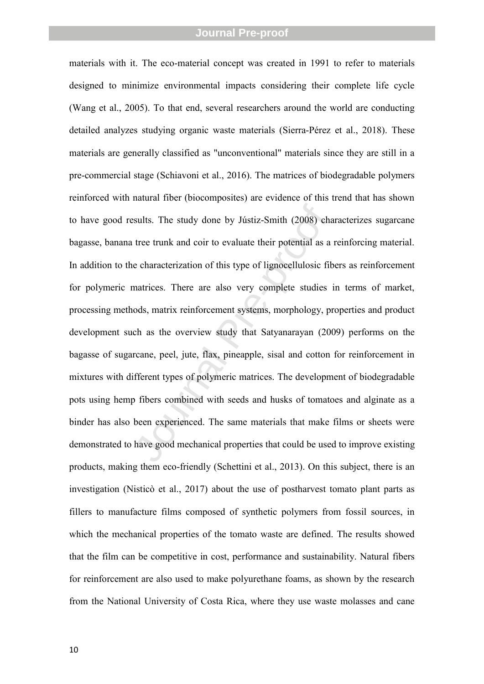sults. The study done by Jústiz-Smith (2008) characterization of this type of lignocellulosic fit<br>natrices. There are also very complete studies<br>ods, matrix reinforcement systems, morphology, pr<br>ch as the overview study t materials with it. The eco-material concept was created in 1991 to refer to materials designed to minimize environmental impacts considering their complete life cycle (Wang et al., 2005). To that end, several researchers around the world are conducting detailed analyzes studying organic waste materials (Sierra-Pérez et al., 2018). These materials are generally classified as "unconventional" materials since they are still in a pre-commercial stage (Schiavoni et al., 2016). The matrices of biodegradable polymers reinforced with natural fiber (biocomposites) are evidence of this trend that has shown to have good results. The study done by Jústiz-Smith (2008) characterizes sugarcane bagasse, banana tree trunk and coir to evaluate their potential as a reinforcing material. In addition to the characterization of this type of lignocellulosic fibers as reinforcement for polymeric matrices. There are also very complete studies in terms of market, processing methods, matrix reinforcement systems, morphology, properties and product development such as the overview study that Satyanarayan (2009) performs on the bagasse of sugarcane, peel, jute, flax, pineapple, sisal and cotton for reinforcement in mixtures with different types of polymeric matrices. The development of biodegradable pots using hemp fibers combined with seeds and husks of tomatoes and alginate as a binder has also been experienced. The same materials that make films or sheets were demonstrated to have good mechanical properties that could be used to improve existing products, making them eco-friendly (Schettini et al., 2013). On this subject, there is an investigation (Nisticò et al., 2017) about the use of postharvest tomato plant parts as fillers to manufacture films composed of synthetic polymers from fossil sources, in which the mechanical properties of the tomato waste are defined. The results showed that the film can be competitive in cost, performance and sustainability. Natural fibers for reinforcement are also used to make polyurethane foams, as shown by the research from the National University of Costa Rica, where they use waste molasses and cane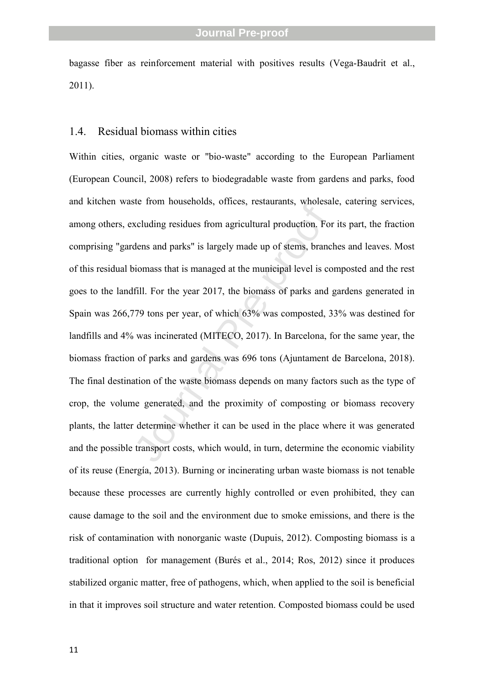bagasse fiber as reinforcement material with positives results (Vega-Baudrit et al., 2011).

#### 1.4. Residual biomass within cities

xeluding residues from agricultural production. For<br>dens and parks" is largely made up of stems, branco<br>biomass that is managed at the municipal level is co<br>fill. For the year 2017, the biomass of parks and  $\beta$ <br>fill. For Within cities, organic waste or "bio-waste" according to the European Parliament (European Council, 2008) refers to biodegradable waste from gardens and parks, food and kitchen waste from households, offices, restaurants, wholesale, catering services, among others, excluding residues from agricultural production. For its part, the fraction comprising "gardens and parks" is largely made up of stems, branches and leaves. Most of this residual biomass that is managed at the municipal level is composted and the rest goes to the landfill. For the year 2017, the biomass of parks and gardens generated in Spain was 266,779 tons per year, of which 63% was composted, 33% was destined for landfills and 4% was incinerated (MITECO, 2017). In Barcelona, for the same year, the biomass fraction of parks and gardens was 696 tons (Ajuntament de Barcelona, 2018). The final destination of the waste biomass depends on many factors such as the type of crop, the volume generated, and the proximity of composting or biomass recovery plants, the latter determine whether it can be used in the place where it was generated and the possible transport costs, which would, in turn, determine the economic viability of its reuse (Energía, 2013). Burning or incinerating urban waste biomass is not tenable because these processes are currently highly controlled or even prohibited, they can cause damage to the soil and the environment due to smoke emissions, and there is the risk of contamination with nonorganic waste (Dupuis, 2012). Composting biomass is a traditional option for management (Burés et al., 2014; Ros, 2012) since it produces stabilized organic matter, free of pathogens, which, when applied to the soil is beneficial in that it improves soil structure and water retention. Composted biomass could be used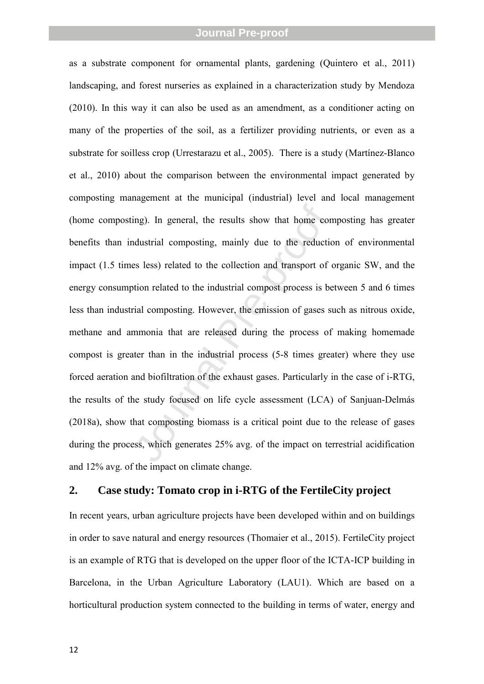ing). In general, the results show that home condustrial composting, mainly due to the reduction<br>es less) related to the collection and transport of ortion related to the industrial compost process is be<br>rial composting. H as a substrate component for ornamental plants, gardening (Quintero et al., 2011) landscaping, and forest nurseries as explained in a characterization study by Mendoza (2010). In this way it can also be used as an amendment, as a conditioner acting on many of the properties of the soil, as a fertilizer providing nutrients, or even as a substrate for soilless crop (Urrestarazu et al., 2005). There is a study (Martínez-Blanco et al., 2010) about the comparison between the environmental impact generated by composting management at the municipal (industrial) level and local management (home composting). In general, the results show that home composting has greater benefits than industrial composting, mainly due to the reduction of environmental impact (1.5 times less) related to the collection and transport of organic SW , and the energy consumption related to the industrial compost process is between 5 and 6 times less than industrial composting. However, the emission of gases such as nitrous oxide, methane and ammonia that are released during the process of making homemade compost is greater than in the industrial process (5-8 times greater) where they use forced aeration and biofiltration of the exhaust gases. Particularly in the case of i-RTG, the results of the study focused on life cycle assessment (LCA) of Sanjuan-Delmás (2018a), show that composting biomass is a critical point due to the release of gases during the process, which generates 25% avg. of the impact on terrestrial acidification and 12% avg. of the impact on climate change.

#### **2. Case study: Tomato crop in i-RTG of the FertileCity project**

In recent years, urban agriculture projects have been developed within and on buildings in order to save natural and energy resources (Thomaier et al., 2015). FertileCity project is an example of RTG that is developed on the upper floor of the ICTA-ICP building in Barcelona, in the Urban Agriculture Laboratory (LAU1). Which are based on a horticultural production system connected to the building in terms of water, energy and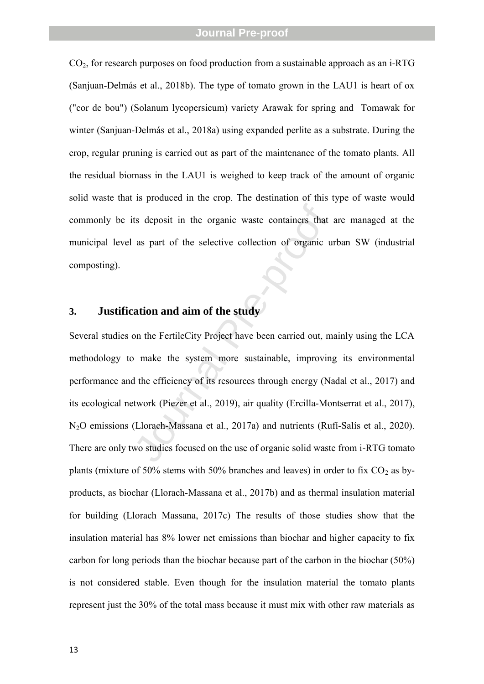CO <sup>2</sup>, for research purposes on food production from a sustainable approach as an i-RTG (Sanjuan-Delmás et al., 2018b). The type of tomato grown in the LAU1 is heart of ox ("cor de bou") (Solanum lycopersicum) variety Arawak for spring and Tomawak for winter (Sanjuan-Delmás et al., 2018a) using expanded perlite as a substrate. During the crop, regular pruning is carried out as part of the maintenance of the tomato plants. All the residual biomass in the LAU1 is weighed to keep track of the amount of organic solid waste that is produced in the crop. The destination of this type of waste would commonly be its deposit in the organic waste containers that are managed at the municipal level as part of the selective collection of organic urban SW (industrial composting).

### **3. Justification and aim of the study**

ts deposit in the organic waste containers that<br>as part of the selective collection of organic u<br>**ation and aim of the study**<br>on the FertileCity Project have been carried out, m<br>b make the system more sustainable, improvin Several studies on the FertileCity Project have been carried out, mainly using the LCA methodology to make the system more sustainable, improving its environmental performance and the efficiency of its resources through energy (Nadal et al., 2017) and its ecological network (Piezer et al., 2019), air quality (Ercilla-Montserrat et al., 2017),<br>N<sub>2</sub>O emissions (Llorach-Massana et al., 2017a) and nutrients (Rufí-Salís et al., 2020). There are only two studies focused on the use of organic solid waste from i-RTG tomato plants (mixture of 50% stems with 50% branches and leaves) in order to fix  $CO_2$  as byproducts, as biochar (Llorach-Massana et al., 2017b) and as thermal insulation material for building (Llorach Massana, 2017c) The results of those studies show that the insulation material has 8% lower net emissions than biochar and higher capacity to fix carbon for long periods than the biochar because part of the carbon in the biochar (50%) is not considered stable. Even though for the insulation material the tomato plants represent just the 30% of the total mass because it must mix with other raw materials as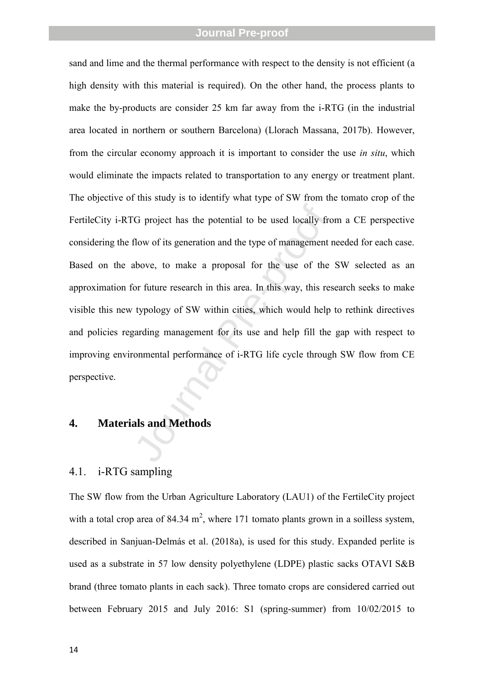G project has the potential to be used locally from<br>flow of its generation and the type of management rabove, to make a proposal for the use of the<br>for future research in this area. In this way, this res<br>typology of SW wit sand and lime and the thermal performance with respect to the density is not efficient (a high density with this material is required). On the other hand, the process plants to make the by-products are consider 25 km far away from the i-RTG (in the industrial area located in northern or southern Barcelona) (Llorach Massana, 2017b). However, from the circular economy approach it is important to consider the use *in situ*, which would eliminate the impacts related to transportation to any energy or treatment plant. The objective of this study is to identify what type of SW from the tomato crop of the FertileCity i-RTG project has the potential to be used locally from a CE perspective considering the flow of its generation and the type of management needed for each case. Based on the above, to make a proposal for the use of the SW selected as an approximation for future research in this area. In this way, this research seeks to make visible this new typology of SW within cities, which would help to rethink directives and policies regarding management for its use and help fill the gap with respect to improving environmental performance of i-RTG life cycle through SW flow from CE perspective.

#### **4. Materials and Methods**

#### 4.1. i-RTG sampling

The SW flow from the Urban Agriculture Laboratory (LAU1) of the FertileCity project with a total crop area of 84.34  $m^2$ , where 171 tomato plants grown in a soilless system, described in Sanjuan-Delmás et al. (2018a), is used for this study. Expanded perlite is used as a substrate in 57 low density polyethylene (LDPE) plastic sacks OTAVI S&B brand (three tomato plants in each sack). Three tomato crops are considered carried out between February 2015 and July 2016: S1 (spring-summer) from 10/02/2015 to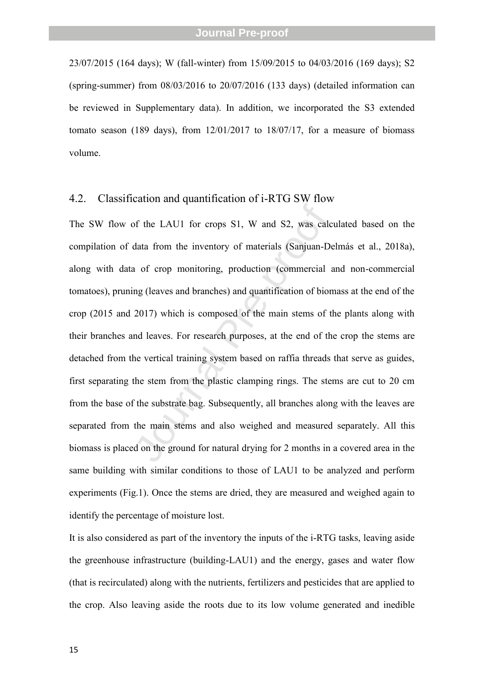23/07/2015 (164 days); W (fall-winter) from 15/09/2015 to 04/03/2016 (169 days); S2 (spring-summer) from 08/03/2016 to 20/07/2016 (133 days) (detailed information can be reviewed in Supplementary data). In addition, we incorporated the S3 extended tomato season (189 days), from  $12/01/2017$  to  $18/07/17$ , for a measure of biomass volume.

#### 4.2. Classification and quantification of i-RTG SW flow

If the LAU1 for crops S1, W and S2, was calculata from the inventory of materials (Sanjuan-De a of crop monitoring, production (commercial ang (leaves and branches) and quantification of bion 2017) which is composed of the The SW flow of the LAU1 for crops S1, W and S2, was calculated based on the compilation of data from the inventory of materials (Sanjuan-Delmás et al., 2018a), along with data of crop monitoring, production (commercial and non-commercial tomatoes), pruning (leaves and branches) and quantification of biomass at the end of the crop (2015 and 2017) which is composed of the main stems of the plants along with their branches and leaves. For research purposes, at the end of the crop the stems are detached from the vertical training system based on raffia threads that serve as guides, first separating the stem from the plastic clamping rings. The stems are cut to 20 cm from the base of the substrate bag. Subsequently, all branches along with the leaves are separated from the main stems and also weighed and measured separately. All this biomass is placed on the ground for natural drying for 2 months in a covered area in the same building with similar conditions to those of LAU1 to be analyzed and perform experiments (Fig.1). Once the stems are dried, they are measured and weighed again to identify the percentage of moisture lost.

It is also considered as part of the inventory the inputs of the i-RTG tasks, leaving aside the greenhouse infrastructure (building-LAU1) and the energy, gases and water flow (that is recirculated) along with the nutrients, fertilizers and pesticides that are applied to the crop. Also leaving aside the roots due to its low volume generated and inedible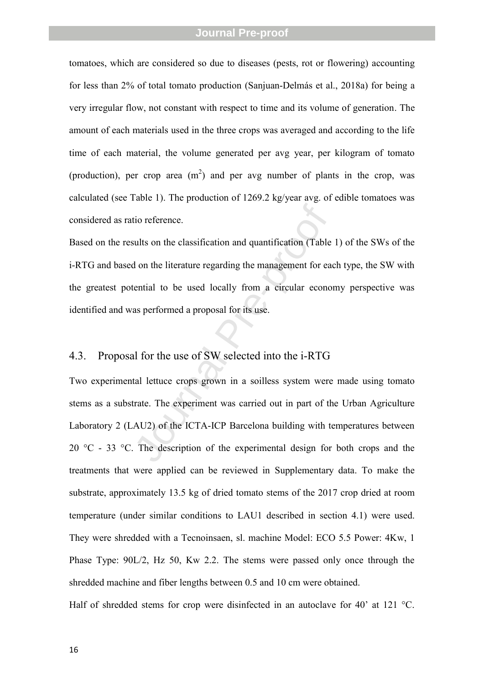tomatoes, which are considered so due to diseases (pests, rot or flowering) accounting for less than 2% of total tomato production (Sanjuan-Delmás et al., 2018a) for being a very irregular flow, not constant with respect to time and its volume of generation. The amount of each materials used in the three crops was averaged and according to the life time of each material, the volume generated per avg year, per kilogram of tomato (production), per crop area  $(m^2)$  and per avg number of plants in the crop, was calculated (see Table 1). The production of 1269.2 kg/year avg. of edible tomatoes was considered as ratio reference.

Based on the results on the classification and quantification (Table 1) of the SWs of the i-RTG and based on the literature regarding the management for each type, the SW with the greatest potential to be used locally from a circular economy perspective was identified and was performed a proposal for its use.

#### 4.3. Proposal for the use of SW selected into the i-RTG

tio reference.<br>
sults on the classification and quantification (Table<br>
d on the literature regarding the management for ea<br>
tential to be used locally from a circular econo<br>
as performed a proposal for its use.<br>
l<br>
d for t Two experimental lettuce crops grown in a soilless system were made using tomato stems as a substrate. The experiment was carried out in part of the Urban Agriculture Laboratory 2 (LAU2) of the ICTA-ICP Barcelona building with temperatures between 20  $^{\circ}$ C - 33  $^{\circ}$ C. The description of the experimental design for both crops and the treatments that were applied can be reviewed in Supplementary data. To make the substrate, approximately 13.5 kg of dried tomato stems of the 2017 crop dried at room temperature (under similar conditions to LAU1 described in section 4.1) were used. They were shredded with a Tecnoinsaen, sl. machine Model: ECO 5.5 Power: 4Kw, 1 Phase Type: 90L/2, Hz 50, Kw 2.2. The stems were passed only once through the shredded machine and fiber lengths between 0.5 and 10 cm were obtained.

Half of shredded stems for crop were disinfected in an autoclave for 40' at 121 °C.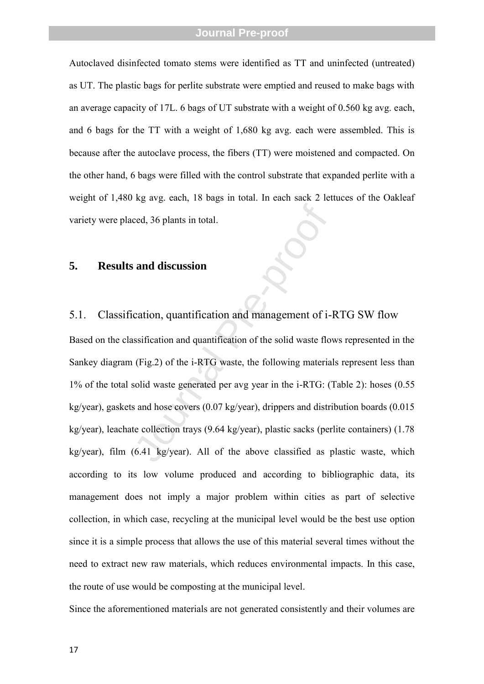Autoclaved disinfected tomato stems were identified as TT and uninfected (untreated) as UT. The plastic bags for perlite substrate were emptied and reused to make bags with an average capacity of 17L. 6 bags of UT substrate with a weight of 0.560 kg avg. each, and 6 bags for the TT with a weight of 1,680 kg avg. each were assembled. This is because after the autoclave process, the fibers (TT) were moistened and compacted. On the other hand, 6 bags were filled with the control substrate that expanded perlite with a weight of 1,480 kg avg. each, 18 bags in total. In each sack 2 lettuces of the Oakleaf variety were placed, 36 plants in total.

#### **5. Results and discussion**

#### 5.1. Classification, quantification and management of i-RTG SW flow

ced, 36 plants in total.<br> **and discussion**<br>
cation, quantification and management of i-<br>
sssification and quantification of the solid waste flo<br>
(Fig.2) of the i-RTG waste, the following materia<br>
solid waste generated per Based on the classification and quantification of the solid waste flows represented in the Sankey diagram (Fig.2) of the i-RTG waste, the following materials represent less than 1% of the total solid waste generated per avg year in the i-RTG: (Table 2): hoses (0.55 kg/year), gaskets and hose covers (0.07 kg/year), drippers and distribution boards (0.015 kg/year), leachate collection trays (9.64 kg/year), plastic sacks (perlite containers) (1.78 kg/year), film (6.41 kg/year). All of the above classified as plastic waste, which according to its low volume produced and according to bibliographic data, its management does not imply a major problem within cities as part of selective collection, in which case, recycling at the municipal level would be the best use option since it is a simple process that allows the use of this material several times without the need to extract new raw materials, which reduces environmental impacts. In this case, the route of use would be composting at the municipal level. Since the aforementioned materials are not generated consistently and their volumes are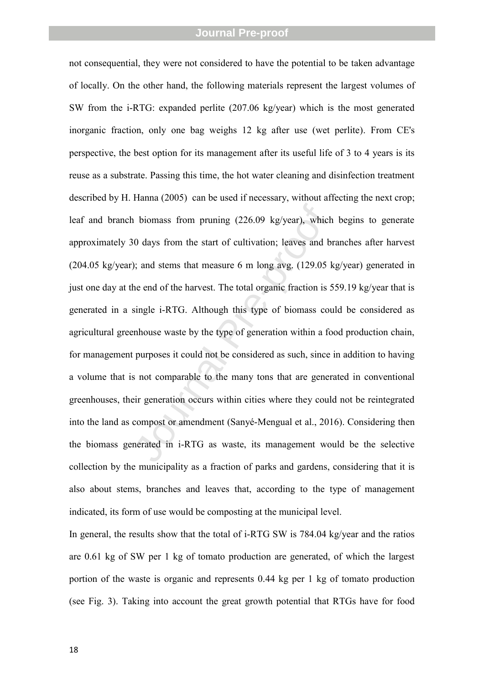1 biomass from pruning (226.09 kg/year), which<br>10 days from the start of cultivation; leaves and b<br>1); and stems that measure 6 m long avg. (129.05 k<br>1); and stems that measure 6 m long avg. (129.05 k<br>1)<br>the end of the har not consequential, they were not considered to have the potential to be taken advantage of locally. On the other hand, the following materials represent the largest volumes of SW from the i-RTG: expanded perlite (207.06 kg/year) which is the most generated inorganic fraction, only one bag weighs 12 kg after use (wet perlite). From CE's perspective, the best option for its management after its useful life of 3 to 4 years is its reuse as a substrate. Passing this time, the hot water cleaning and disinfection treatment described by H. Hanna (2005) can be used if necessary, without affecting the next crop; leaf and branch biomass from pruning (226.09 kg/year), which begins to generate approximately 30 days from the start of cultivation; leaves and branches after harvest (204.05 kg/year); and stems that measure 6 m long avg. (129.05 kg/year) generated in just one day at the end of the harvest. The total organic fraction is 559.19 kg/year that is generated in a single i-RTG. Although this type of biomass could be considered as agricultural greenhouse waste by the type of generation within a food production chain, for management purposes it could not be considered as such, since in addition to having a volume that is not comparable to the many tons that are generated in conventional greenhouses, their generation occurs within cities where they could not be reintegrated into the land as compost or amendment (Sanyé-Mengual et al., 2016). Considering then the biomass generated in i-RTG as waste, its management would be the selective collection by the municipality as a fraction of parks and gardens, considering that it is also about stems, branches and leaves that, according to the type of management indicated, its form of use would be composting at the municipal level.

In general, the results show that the total of i-RTG SW is 784.04 kg/year and the ratios are 0.61 kg of SW per 1 kg of tomato production are generated, of which the largest portion of the waste is organic and represents 0.44 kg per 1 kg of tomato production (see Fig. 3). Taking into account the great growth potential that RTGs have for food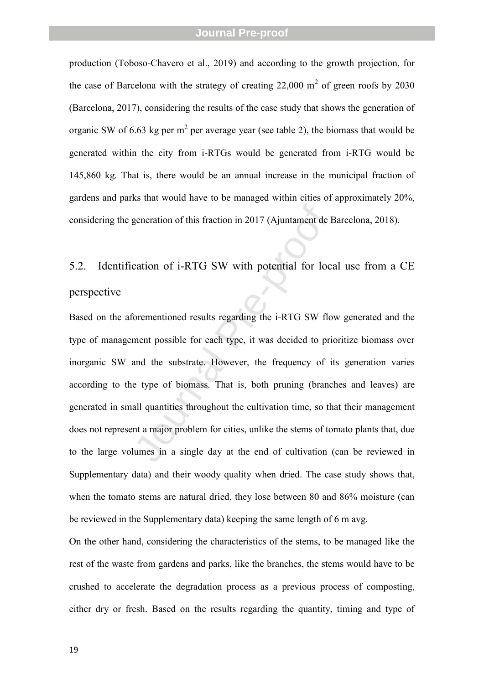production (Toboso-Chavero et al., 2019) and according to the growth projection, for the case of Barcelona with the strategy of creating  $22,000 \text{ m}^2$  of green roofs by  $2030$ (Barcelona, 2017), considering the results of the case study that shows the generation of organic SW of 6.63 kg per  $m^2$  per average year (see table 2), the biomass that would be generated within the city from i-RTGs would be generated from i-RTG would be 145,860 kg. That is, there would be an annual increase in the municipal fraction of gardens and parks that would have to be managed within cities of approximately 20%, considering the generation of this fraction in 2017 (Ajuntament de Barcelona, 2018).

# 5.2. Identification of i-RTG SW with potential for local use from a CE perspective

generation of this fraction in 2017 (Ajuntament de H<br>cation of i-RTG SW with potential for loc<br>cation of i-RTG SW with potential for loc<br>orementioned results regarding the i-RTG SW flo<br>ment possible for each type, it was d Based on the aforementioned results regarding the i-RTG SW flow generated and the type of management possible for each type, it was decided to prioritize biomass over inorganic SW and the substrate. However, the frequency of its generation varies according to the type of biomass. That is, both pruning (branches and leaves) are generated in small quantities throughout the cultivation time, so that their management does not represent a major problem for cities, unlike the stems of tomato plants that, due to the large volumes in a single day at the end of cultivation (can be reviewed in Supplementary data) and their woody quality when dried. The case study shows that, when the tomato stems are natural dried, they lose between 80 and 86% moisture (can be reviewed in the Supplementary data) keeping the same length of 6 m avg.

On the other hand, considering the characteristics of the stems, to be managed like the rest of the waste from gardens and parks, like the branches, the stems would have to be crushed to accelerate the degradation process as a previous process of composting, either dry or fresh. Based on the results regarding the quantity, timing and type of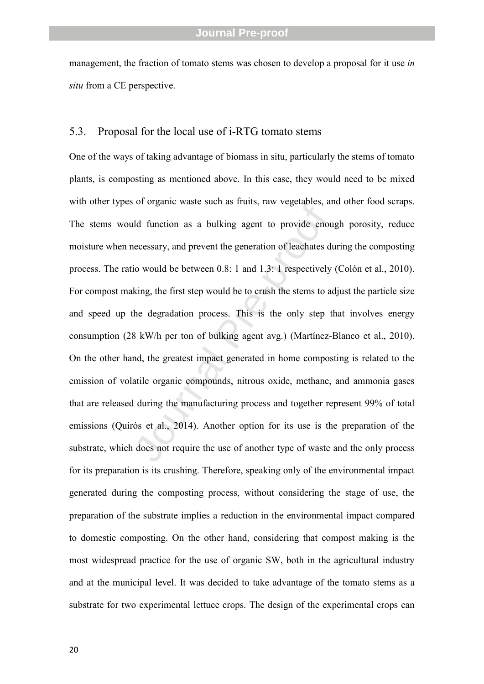management, the fraction of tomato stems was chosen to develop a proposal for it use *in situ* from a CE perspective.

#### 5.3. Proposal for the local use of i-RTG tomato stems

or organic waste start as franks, taw vegetables, and function as a bulking agent to provide enou<br>necessary, and prevent the generation of leachates dio<br>would be between 0.8: 1 and 1.3: 1 respectively<br>king, the first step One of the ways of taking advantage of biomass in situ, particularly the stems of tomato plants, is composting as mentioned above. In this case, they would need to be mixed with other types of organic waste such as fruits, raw vegetables, and other food scraps. The stems would function as a bulking agent to provide enough porosity, reduce moisture when necessary, and prevent the generation of leachates during the composting process. The ratio would be between 0.8: 1 and 1.3: 1 respectively (Colón et al., 2010). For compost making, the first step would be to crush the stems to adjust the particle size and speed up the degradation process. This is the only step that involves energy consumption (28 kW/h per ton of bulking agent avg.) (Martínez-Blanco et al., 2010). On the other hand, the greatest impact generated in home composting is related to the emission of volatile organic compounds, nitrous oxide, methane, and ammonia gases that are released during the manufacturing process and together represent 99% of total emissions (Quirós et al., 2014). Another option for its use is the preparation of the substrate, which does not require the use of another type of waste and the only process for its preparation is its crushing. Therefore, speaking only of the environmental impact generated during the composting process, without considering the stage of use, the preparation of the substrate implies a reduction in the environmental impact compared to domestic composting. On the other hand, considering that compost making is the most widespread practice for the use of organic SW, both in the agricultural industry and at the municipal level. It was decided to take advantage of the tomato stems as a substrate for two experimental lettuce crops. The design of the experimental crops can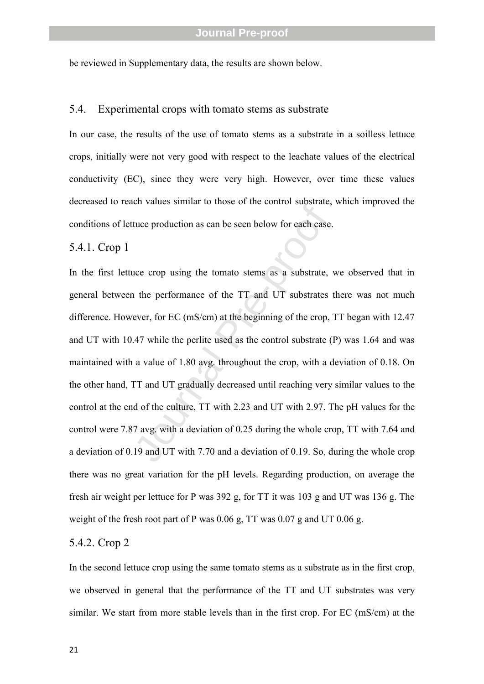be reviewed in Supplementary data, the results are shown below.

#### 5.4. Experimental crops with tomato stems as substrate

In our case, the results of the use of tomato stems as a substrate in a soilless lettuce crops, initially were not very good with respect to the leachate values of the electrical conductivity (EC), since they were very high. However, over time these values decreased to reach values similar to those of the control substrate, which improved the conditions of lettuce production as can be seen below for each case.

#### 5.4.1. Crop 1

tuce production as can be seen below for each case.<br>tuce production as can be seen below for each case.<br>uce crop using the tomato stems as a substrate,<br>i the performance of the TT and UT substrates<br>ever, for EC (mS/cm) at In the first lettuce crop using the tomato stems as a substrate, we observed that in general between the performance of the TT and UT substrates there was not much difference. However, for EC (mS/cm) at the beginning of the crop, TT began with 12.47 and UT with 10.47 while the perlite used as the control substrate (P) was 1.64 and was maintained with a value of 1.80 avg. throughout the crop, with a deviation of 0.18. On the other hand, TT and UT gradually decreased until reaching very similar values to the control at the end of the culture, TT with 2.23 and UT with 2.97. The pH values for the control were 7.87 avg. with a deviation of 0.25 during the whole crop, TT with 7.64 and a deviation of 0.19 and UT with 7.70 and a deviation of 0.19. So, during the whole crop there was no great variation for the pH levels. Regarding production, on average the fresh air weight per lettuce for P was 392 g, for TT it was 103 g and UT was 136 g. The weight of the fresh root part of P was 0.06 g, TT was 0.07 g and UT 0.06 g.

#### 5.4.2. Crop 2

In the second lettuce crop using the same tomato stems as a substrate as in the first crop, we observed in general that the performance of the TT and UT substrates was very similar. We start from more stable levels than in the first crop. For EC (mS/cm) at the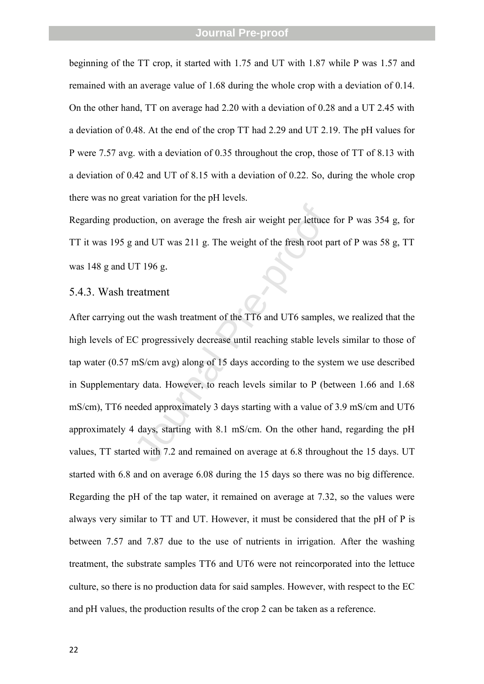beginning of the TT crop, it started with 1.75 and UT with 1.87 while P was 1.57 and remained with an average value of 1.68 during the whole crop with a deviation of 0.14. On the other hand, TT on average had 2.20 with a deviation of 0.28 and a UT 2.45 with a deviation of 0.48. At the end of the crop TT had 2.29 and UT 2.19. The pH values for P were 7.57 avg. with a deviation of 0.35 throughout the crop, those of TT of 8.13 with a deviation of 0.42 and UT of 8.15 with a deviation of 0.22. So, during the whole crop there was no great variation for the pH levels.

Regarding production, on average the fresh air weight per lettuce for P was 354 g, for TT it was 195 g and UT was 211 g. The weight of the fresh root part of P was 58 g, TT was 148 g and UT 196 g.

#### 5.4.3. Wash treatment

action, on average the fresh air weight per lettuce<br>and UT was 211 g. The weight of the fresh root pa<br>JT 196 g.<br>TT 196 g.<br>catment<br>tu the wash treatment of the TT6 and UT6 samples<br>C progressively decrease until reaching sta After carrying out the wash treatment of the TT6 and UT6 samples, we realized that the high levels of EC progressively decrease until reaching stable levels similar to those of tap water (0.57 mS/cm avg) along of 15 days according to the system we use described in Supplementary data. However, to reach levels similar to P (between 1.66 and 1.68 mS/cm), TT6 needed approximately 3 days starting with a value of 3.9 mS/cm and UT6 approximately 4 days, starting with 8.1 mS/cm. On the other hand, regarding the pH values, TT started with 7.2 and remained on average at 6.8 throughout the 15 days. UT started with 6.8 and on average 6.08 during the 15 days so there was no big difference. Regarding the pH of the tap water, it remained on average at 7.32, so the values were always very similar to TT and UT. However, it must be considered that the pH of P is between 7.57 and 7.87 due to the use of nutrients in irrigation. After the washing treatment, the substrate samples TT6 and UT6 were not reincorporated into the lettuce culture, so there is no production data for said samples. However, with respect to the EC and pH values, the production results of the crop 2 can be taken as a reference.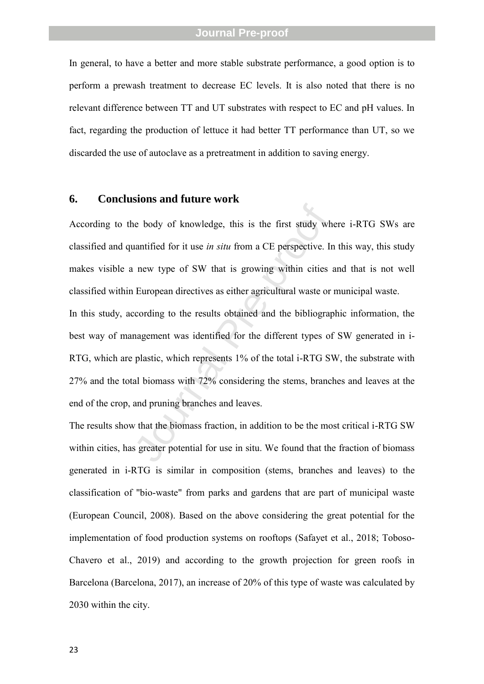In general, to have a better and more stable substrate performance, a good option is to perform a prewash treatment to decrease EC levels. It is also noted that there is no relevant difference between TT and UT substrates with respect to EC and pH values. In fact, regarding the production of lettuce it had better TT performance than UT, so we discarded the use of autoclave as a pretreatment in addition to saving energy.

#### **6. Conclusions and future work**

According to the body of knowledge, this is the first study where i-RTG SWs are classified and quantified for it use *in situ* from a CE perspective. In this way, this study makes visible a new type of SW that is growing within cities and that is not well classified within European directives as either agricultural waste or municipal waste.

he body of knowledge, this is the first study wh<br>anntified for it use *in situ* from a CE perspective. In<br>a new type of SW that is growing within cities<br>European directives as either agricultural waste or<br>coording to the r In this study, according to the results obtained and the bibliographic information, the best way of management was identified for the different types of SW generated in i-RTG, which are plastic, which represents 1% of the total i-RTG SW, the substrate with 27% and the total biomass with 72% considering the stems, branches and leaves at the end of the crop, and pruning branches and leaves.

The results show that the biomass fraction, in addition to be the most critical i-RTG SW within cities, has greater potential for use in situ. We found that the fraction of biomass generated in i-RTG is similar in composition (stems, branches and leaves) to the classification of "bio-waste" from parks and gardens that are part of municipal waste (European Council, 2008). Based on the above considering the great potential for the implementation of food production systems on rooftops (Safayet et al., 2018; Toboso-Chavero et al., 2019) and according to the growth projection for green roofs in Barcelona (Barcelona, 2017), an increase of 20% of this type of waste was calculated by 2030 within the city.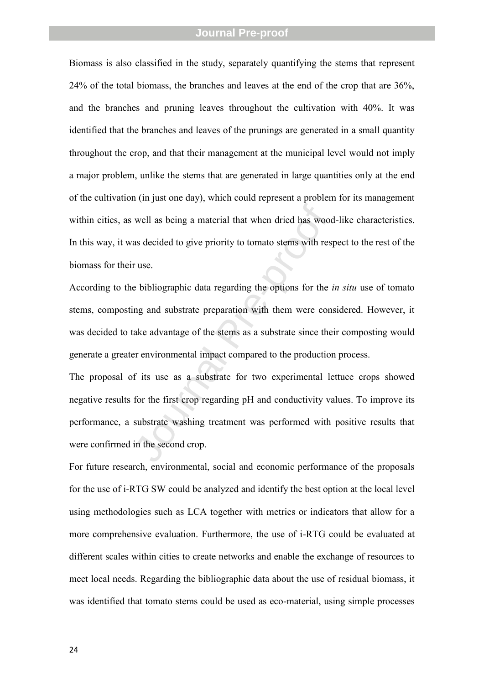Biomass is also classified in the study, separately quantifying the stems that represent 24% of the total biomass, the branches and leaves at the end of the crop that are 36%, and the branches and pruning leaves throughout the cultivation with 40%. It was identified that the branches and leaves of the prunings are generated in a small quantity throughout the crop, and that their management at the municipal level would not imply a major problem, unlike the stems that are generated in large quantities only at the end of the cultivation (in just one day), which could represent a problem for its management within cities, as well as being a material that when dried has wood-like characteristics. In this way, it was decided to give priority to tomato stems with respect to the rest of the biomass for their use.

well as being a material that when dried has wood<br>as decided to give priority to tomato stems with res<br>r use.<br>bibliographic data regarding the options for the  $\mu$ <br>ing and substrate preparation with them were con<br>ake advan According to the bibliographic data regarding the options for the *in situ* use of tomato stems, composting and substrate preparation with them were considered. However, it was decided to take advantage of the stems as a substrate since their composting would generate a greater environmental impact compared to the production process.

The proposal of its use as a substrate for two experimental lettuce crops showed negative results for the first crop regarding pH and conductivity values. To improve its performance, a substrate washing treatment was performed with positive results that were confirmed in the second crop.

For future research, environmental, social and economic performance of the proposals for the use of i-RTG SW could be analyzed and identify the best option at the local level using methodologies such as LCA together with metrics or indicators that allow for a more comprehensive evaluation. Furthermore, the use of i-RTG could be evaluated at different scales within cities to create networks and enable the exchange of resources to meet local needs. Regarding the bibliographic data about the use of residual biomass, it was identified that tomato stems could be used as eco-material, using simple processes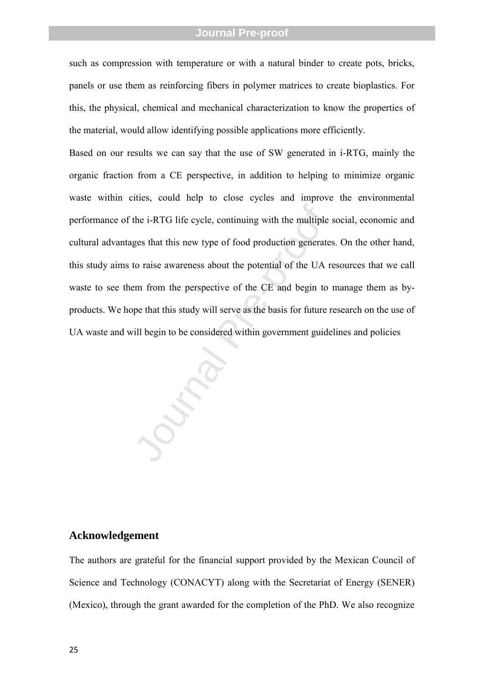such as compression with temperature or with a natural binder to create pots, bricks, panels or use them as reinforcing fibers in polymer matrices to create bioplastics. For this, the physical, chemical and mechanical characterization to know the properties of the material, would allow identifying possible applications more efficiently.

the i-RTG life cycle, continuing with the multiple set that this new type of food production generates approaches to raise awareness about the potential of the UA rem from the perspective of the CE and begin to speed that Based on our results we can say that the use of SW generated in i-RTG, mainly the organic fraction from a CE perspective, in addition to helping to minimize organic waste within cities, could help to close cycles and improve the environmental performance of the i-RTG life cycle, continuing with the multiple social, economic and cultural advantages that this new type of food production generates. On the other hand, this study aims to raise awareness about the potential of the UA resources that we call waste to see them from the perspective of the CE and begin to manage them as byproducts. We hope that this study will serve as the basis for future research on the use of UA waste and will begin to be considered within government guidelines and policies

#### **Acknowledgement**

The authors are grateful for the financial support provided by the Mexican Council of Science and Technology (CONACYT) along with the Secretariat of Energy (SENER) (Mexico), through the grant awarded for the completion of the PhD. We also recognize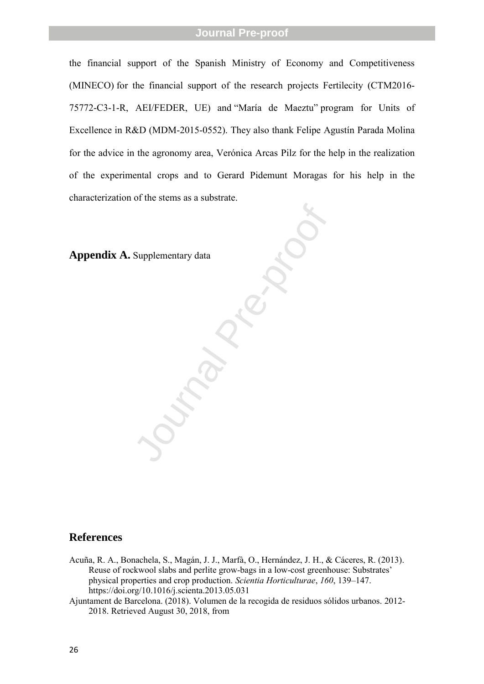the financial support of the Spanish Ministry of Economy and Competitiveness (MINECO) for the financial support of the research projects Fertilecity (CTM2016- 75772-C3 - 1-R, AEI/FEDER, UE) and "María de Maeztu" program for Units of Excellence in R&D (MDM-2015-0552). They also thank Felipe Agustín Parada Molina for the advice in the agronomy area, Verónica Arcas Pilz for the help in the realization of the experimental crops and to Gerard Pidemunt Moragas for his help in the characterization of the stems as a substrate.

Supplementary data **Appendix A.** Supplementary data

#### **References**

- Acuña, R. A., Bonachela, S., Magán, J. J., Marfà, O., Hernández, J. H., & Cáceres, R. (2013). Reuse of rockwool slabs and perlite grow -bags in a low -cost greenhouse: Substrates' physical properties and crop production. *Scientia Horticulturae*, *160*, 139 –147. https://doi.org/10.1016/j.scienta.2013.05.031
- Ajuntament de Barcelona. (2018). Volumen de la recogida de residuos sólidos urbanos. 2012 2018. Retrieved August 30, 2018, from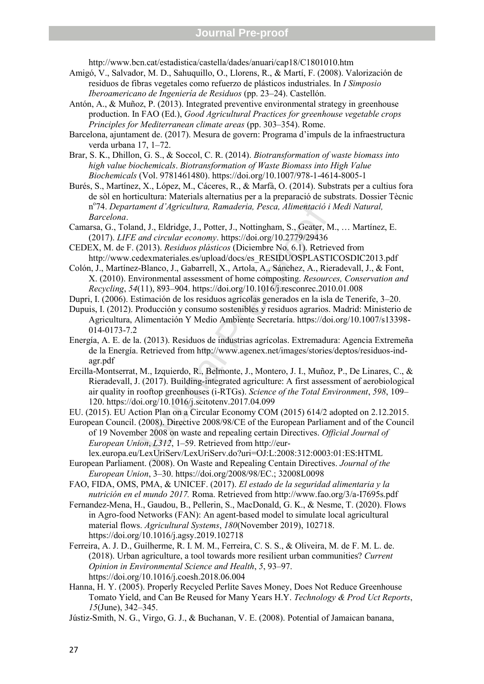http://www.bcn.cat/estadistica/castella/dades/anuari/cap18/C1801010.htm

- Amigó, V., Salvador, M. D., Sahuquillo, O., Llorens, R., & Martí, F. (2008). Valorización de residuos de fibras vegetales como refuerzo de plásticos industriales. In *I Simposio Iberoamericano de Ingeniería de Residuos* (pp. 23–24). Castellón.
- Antón, A., & Muñoz, P. (2013). Integrated preventive environmental strategy in greenhouse production. In FAO (Ed.), *Good Agricultural Practices for greenhouse vegetable crops Principles for Mediterranean climate areas* (pp. 303–354). Rome.
- Barcelona, ajuntament de. (2017). Mesura de govern: Programa d'impuls de la infraestructura verda urbana 17, 1–72.
- Brar, S. K., Dhillon, G. S., & Soccol, C. R. (2014). *Biotransformation of waste biomass into high value biochemicals*. *Biotransformation of Waste Biomass into High Value Biochemicals* (Vol. 9781461480). https://doi.org/10.1007/978-1-4614-8005-1
- Burés, S., Martínez, X., López, M., Cáceres, R., & Marfà, O. (2014). Substrats per a cultius fora de sòl en horticultura: Materials alternatius per a la preparació de substrats. Dossier Tècnic n<sup>o</sup> 74. *Departament d'Agricultura, Ramaderia, Pesca, Alimentació i Medi Natural, Barcelona*.
- Camarsa, G., Toland, J., Eldridge, J., Potter, J., Nottingham, S., Geater, M., … Martínez, E. (2017). *LIFE and circular economy*. https://doi.org/10.2779/29436
- CEDEX, M. de F. (2013). *Residuos plásticos* (Diciembre No. 6.1). Retrieved from http://www.cedexmateriales.es/upload/docs/es\_RESIDUOSPLASTICOSDIC2013.pdf
- Colón, J., Martínez-Blanco, J., Gabarrell, X., Artola, A., Sánchez, A., Rieradevall, J., & Font, X. (2010). Environmental assessment of home composting. *Resources, Conservation and Recycling*, *54* (11), 893–904. https://doi.org/10.1016/j.resconrec.2010.01.008
- Dupri, I. (2006). Estimación de los residuos agrícolas generados en la isla de Tenerife, 3–20. Dupuis, I. (2012). Producción y consumo sostenibles y residuos agrarios. Madrid: Ministerio de
- Agricultura, Alimentación Y Medio Ambiente Secretaría. https://doi.org/10.1007/s13398- 014-0173-7.2
- Energía, A. E. de la. (2013). Residuos de industrias agrícolas. Extremadura: Agencia Extremeña de la Energía. Retrieved from http://www.agenex.net/images/stories/deptos/residuos-indagr.pdf
- tament d'Agricultura, Ramaderia, Pesca, Alimentació i<br>
and, J., Eldridge, J., Potter, J., Nottingham, S., Geater, M.<br>
E and circular economy. https://doi.org/10.2779/29436<br>
(2013). Residuos plásticos (Diciembre No. 6.1). R Ercilla-Montserrat, M., Izquierdo, R., Belmonte, J., Montero, J. I., Muñoz, P., De Linares, C., & Rieradevall, J. (2017). Building-integrated agriculture: A first assessment of aerobiological air quality in rooftop greenhouses (i-RTGs). *Science of the Total Environment*, *598*, 109– 120. https://doi.org/10.1016/j.scitotenv.2017.04.099
- EU. (2015). EU Action Plan on a Circular Economy COM (2015) 614/2 adopted on 2.12.2015.
- European Council. (2008). Directive 2008/98/CE of the European Parliament and of the Council of 19 November 2008 on waste and repealing certain Directives. *Official Journal of European Union*, *L312*, 1–59. Retrieved from http://eurlex.europa.eu/LexUriServ/LexUriServ.do?uri=OJ:L:2008:312:0003:01:ES:HTML
- European Parliament. (2008). On Waste and Repealing Centain Directives. *Journal of the European Union*, 3–30. https://doi.org/2008/98/EC.; 32008L0098
- FAO, FIDA, OMS, PMA, & UNICEF. (2017). *El estado de la seguridad alimentaria y la nutrición en el mundo 2017.* Roma. Retrieved from http://www.fao.org/3/a-I7695s.pdf
- Fernandez-Mena, H., Gaudou, B., Pellerin, S., MacDonald, G. K., & Nesme, T. (2020). Flows in Agro-food Networks (FAN): An agent-based model to simulate local agricultural material flows. *Agricultural Systems*, *180*(November 2019), 102718. https://doi.org/10.1016/j.agsy.2019.102718
- Ferreira, A. J. D., Guilherme, R. I. M. M., Ferreira, C. S. S., & Oliveira, M. de F. M. L. de. (2018). Urban agriculture, a tool towards more resilient urban communities? *Current Opinion in Environmental Science and Health*, *5*, 93–97. https://doi.org/10.1016/j.coesh.2018.06.004
- Hanna, H. Y. (2005). Properly Recycled Perlite Saves Money, Does Not Reduce Greenhouse Tomato Yield, and Can Be Reused for Many Years H.Y. *Technology & Prod Uct Reports*, *15*(June), 342–345.
- Jústiz-Smith, N. G., Virgo, G. J., & Buchanan, V. E. (2008). Potential of Jamaican banana,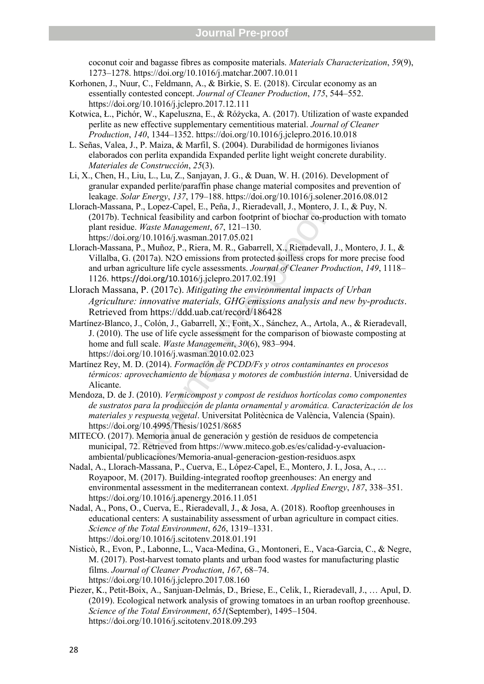coconut coir and bagasse fibres as composite materials. *Materials Characterization*, *59*(9), 1273–1278. https://doi.org/10.1016/j.matchar.2007.10.011

- Korhonen, J., Nuur, C., Feldmann, A., & Birkie, S. E. (2018). Circular economy as an essentially contested concept. *Journal of Cleaner Production*, *175*, 544–552. https://doi.org/10.1016/j.jclepro.2017.12.111
- Kotwica, Ł., Pichór, W., Kapeluszna, E., & Różycka, A. (2017). Utilization of waste expanded perlite as new effective supplementary cementitious material. *Journal of Cleaner Production*, *140*, 1344–1352. https://doi.org/10.1016/j.jclepro.2016.10.018
- L. Señas, Valea, J., P. Maiza, & Marfil, S. (2004). Durabilidad de hormigones livianos elaborados con perlita expandida Expanded perlite light weight concrete durability. *Materiales de Construcción*, *25*(3).
- Li, X., Chen, H., Liu, L., Lu, Z., Sanjayan, J. G., & Duan, W. H. (2016). Development of granular expanded perlite/paraffin phase change material composites and prevention of leakage. *Solar Energy*, *137*, 179–188. https://doi.org/10.1016/j.solener.2016.08.012
- Llorach-Massana, P., Lopez-Capel, E., Peña, J., Rieradevall, J., Montero, J. I., & Puy, N. (2017b). Technical feasibility and carbon footprint of biochar co-production with tomato plant residue. *Waste Management*, *67*, 121–130. https://doi.org/10.1016/j.wasman.2017.05.021
- , P., Lopez-Capel, E., Peña, J., Rieradevall, J., Montero,<br>
hhiical feasibility and carbon footprint of biochar co-pro<br>  $E.$  *Waste Management*, 67, 121–130.<br>
2. *Waste Management*, 67, 121–130.<br>
P., Muñoz, P., Riera, M. Llorach-Massana, P., Muñoz, P., Riera, M. R., Gabarrell, X., Rieradevall, J., Montero, J. I., & Villalba, G. (2017a). N2O emissions from protected soilless crops for more precise food and urban agriculture life cycle assessments. *Journal of Cleaner Production*, *149*, 1118– 1126. https://doi.org/10.1016/j.jclepro.2017.02.191
- Llorach Massana, P. (2017c). *Mitigating the environmental impacts of Urban Agriculture: innovative materials, GHG emissions analysis and new by-products*. Retrieved from https://ddd.uab.cat/record/186428
- Martínez-Blanco, J., Colón, J., Gabarrell, X., Font, X., Sánchez, A., Artola, A., & Rieradevall, J. (2010). The use of life cycle assessment for the comparison of biowaste composting at home and full scale. *Waste Management*, *30*(6), 983–994. https://doi.org/10.1016/j.wasman.2010.02.023
- Martínez Rey, M. D. (2014). *Formación de PCDD/Fs y otros contaminantes en procesos térmicos: aprovechamiento de biomasa y motores de combustión interna*. Universidad de Alicante.
- Mendoza, D. de J. (2010). *Vermicompost y compost de residuos hortícolas como componentes de sustratos para la producción de planta ornamental y aromática. Caracterización de los materiales y respuesta vegetal*. Universitat Politècnica de València, Valencia (Spain). https://doi.org/10.4995/Thesis/10251/8685
- MITECO. (2017). Memoria anual de generación y gestión de residuos de competencia municipal, 72. Retrieved from https://www.miteco.gob.es/es/calidad-y-evaluacionambiental/publicaciones/Memoria-anual-generacion-gestion-residuos.aspx
- Nadal, A., Llorach-Massana, P., Cuerva, E., López-Capel, E., Montero, J. I., Josa, A., … Royapoor, M. (2017). Building-integrated rooftop greenhouses: An energy and environmental assessment in the mediterranean context. *Applied Energy*, *187*, 338–351. https://doi.org/10.1016/j.apenergy.2016.11.051
- Nadal, A., Pons, O., Cuerva, E., Rieradevall, J., & Josa, A. (2018). Rooftop greenhouses in educational centers: A sustainability assessment of urban agriculture in compact cities. *Science of the Total Environment*, *626*, 1319–1331. https://doi.org/10.1016/j.scitotenv.2018.01.191
- Nisticò, R., Evon, P., Labonne, L., Vaca-Medina, G., Montoneri, E., Vaca-Garcia, C., & Negre, M. (2017). Post-harvest tomato plants and urban food wastes for manufacturing plastic films. *Journal of Cleaner Production* , *167*, 68–74. https://doi.org/10.1016/j.jclepro.2017.08.160
- Piezer, K., Petit-Boix, A., Sanjuan-Delmás, D., Briese, E., Celik, I., Rieradevall, J., … Apul, D. (2019). Ecological network analysis of growing tomatoes in an urban rooftop greenhouse. *Science of the Total Environment*, *651*(September), 1495–1504. https://doi.org/10.1016/j.scitotenv.2018.09.293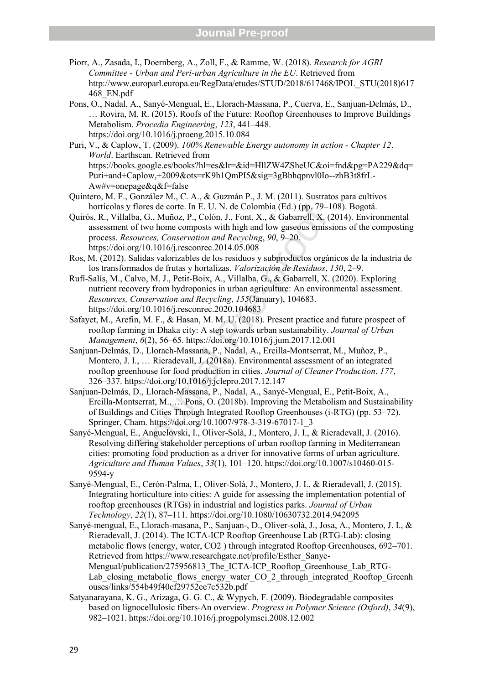- Piorr, A., Zasada, I., Doernberg, A., Zoll, F., & Ramme, W. (2018). *Research for AGRI Committee - Urban and Peri-urban Agriculture in the EU*. Retrieved from http://www.europarl.europa.eu/RegData/etudes/STUD/2018/617468/IPOL\_STU(2018)617 468\_EN.pdf
- Pons, O., Nadal, A., Sanyé-Mengual, E., Llorach-Massana, P., Cuerva, E., Sanjuan-Delmàs, D., … Rovira, M. R. (2015). Roofs of the Future: Rooftop Greenhouses to Improve Buildings Metabolism. *Procedia Engineering*, *123*, 441–448. https://doi.org/10.1016/j.proeng.2015.10.084
- Puri, V., & Caplow, T. (2009). *100% Renewable Energy autonomy in action Chapter 12*. *World*. Earthscan. Retrieved from https://books.google.es/books?hl=es&lr=&id=HllZW4ZSheUC&oi=fnd&pg=PA229&dq= Puri+and+Caplow,+2009&ots=rK9h1QmPI5&sig=3gBbhqpnvl0Io--zhB3t8frL-Aw#v=onepage&q&f=false
- Quintero, M. F., González M., C. A., & Guzmán P., J. M. (2011). Sustratos para cultivos hortícolas y flores de corte. In E. U. N. de Colombia (Ed.) (pp. 79–108). Bogotá.
- Quirós, R., Villalba, G., Muñoz, P., Colón, J., Font, X., & Gabarrell, X. (2014). Environmental assessment of two home composts with high and low gaseous emissions of the composting process. *Resources, Conservation and Recycling*, *90*, 9–20. https://doi.org/10.1016/j.resconrec.2014.05.008
- Ros, M. (2012). Salidas valorizables de los residuos y subproductos orgánicos de la industria de los transformados de frutas y hortalizas. *Valorización de Residuos*, *130*, 2–9.
- Rufí-Salís, M., Calvo, M. J., Petit-Boix, A., Villalba, G., & Gabarrell, X. (2020). Exploring nutrient recovery from hydroponics in urban agriculture: An environmental assessment. *Resources, Conservation and Recycling*, *155*(January), 104683. https://doi.org/10.1016/j.resconrec.2020.104683
- Safayet, M., Arefin, M. F., & Hasan, M. M. U. (2018). Present practice and future prospect of rooftop farming in Dhaka city: A step towards urban sustainability. *Journal of Urban Management*, *6*(2), 56–65. https://doi.org/10.1016/j.jum.2017.12.001
- Sanjuan-Delmás, D., Llorach-Massana, P., Nadal, A., Ercilla-Montserrat, M., Muñoz, P., Montero, J. I., … Rieradevall, J. (2018a). Environmental assessment of an integrated rooftop greenhouse for food production in cities. *Journal of Cleaner Production*, *177*, 326–337. https://doi.org/10.1016/j.jclepro.2017.12.147
- flores de corte. In E. U. N. de Colombia (Ed.) (pp. 79–1<br>ba, G., Muñoz, P., Colón, J., Font, X., & Gabarrell, X. (2<br>of two home composts with high and low gaseous emission<br>of two home composts with high and low gaseous emi Sanjuan-Delmás, D., Llorach-Massana, P., Nadal, A., Sanyé-Mengual, E., Petit-Boix, A., Ercilla-Montserrat, M., … Pons, O. (2018b). Improving the Metabolism and Sustainability of Buildings and Cities Through Integrated Rooftop Greenhouses (i-RTG) (pp. 53–72). Springer, Cham. https://doi.org/10.1007/978-3-319-67017-1\_3
- Sanyé-Mengual, E., Anguelovski, I., Oliver-Solà, J., Montero, J. I., & Rieradevall, J. (2016). Resolving differing stakeholder perceptions of urban rooftop farming in Mediterranean cities: promoting food production as a driver for innovative forms of urban agriculture. *Agriculture and Human Values*, *33*(1), 101–120. https://doi.org/10.1007/s10460-015- 9594-y
- Sanyé-Mengual, E., Cerón-Palma, I., Oliver-Solà, J., Montero, J. I., & Rieradevall, J. (2015). Integrating horticulture into cities: A guide for assessing the implementation potential of rooftop greenhouses (RTGs) in industrial and logistics parks. *Journal of Urban Technology*, *22*(1), 87–111. https://doi.org/10.1080/10630732.2014.942095
- Sanyé-mengual, E., Llorach-masana, P., Sanjuan-, D., Oliver-solà, J., Josa, A., Montero, J. I., & Rieradevall, J. (2014). The ICTA-ICP Rooftop Greenhouse Lab (RTG-Lab): closing metabolic flows (energy, water, CO2 ) through integrated Rooftop Greenhouses, 692–701. Retrieved from https://www.researchgate.net/profile/Esther\_Sanye-Mengual/publication/275956813 The ICTA-ICP Rooftop Greenhouse Lab RTG-Lab closing metabolic flows energy water CO 2 through integrated Rooftop Greenh ouses/links/554b49f40cf29752ee7c532b.pdf
- Satyanarayana, K. G., Arizaga, G. G. C., & Wypych, F. (2009). Biodegradable composites based on lignocellulosic fibers-An overview. *Progress in Polymer Science (Oxford)*, *34*(9), 982–1021. https://doi.org/10.1016/j.progpolymsci.2008.12.002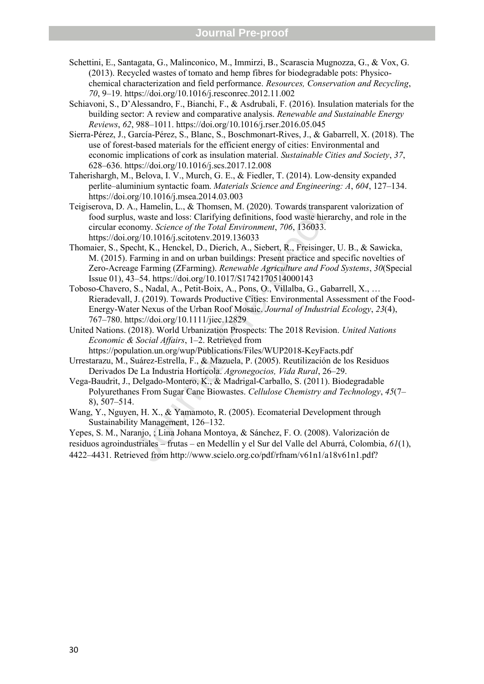- Schettini, E., Santagata, G., Malinconico, M., Immirzi, B., Scarascia Mugnozza, G., & Vox, G. (2013). Recycled wastes of tomato and hemp fibres for biodegradable pots: Physicochemical characterization and field performance. *Resources, Conservation and Recycling*, *70*, 9–19. https://doi.org/10.1016/j.resconrec.2012.11.002
- Schiavoni, S., D'Alessandro, F., Bianchi, F., & Asdrubali, F. (2016). Insulation materials for the building sector: A review and comparative analysis. *Renewable and Sustainable Energy Reviews*, *62*, 988–1011. https://doi.org/10.1016/j.rser.2016.05.045
- Sierra-Pérez, J., García-Pérez, S., Blanc, S., Boschmonart-Rives, J., & Gabarrell, X. (2018). The use of forest-based materials for the efficient energy of cities: Environmental and economic implications of cork as insulation material. *Sustainable Cities and Society*, *37*, 628–636. https://doi.org/10.1016/j.scs.2017.12.008
- Taherishargh, M., Belova, I. V., Murch, G. E., & Fiedler, T. (2014). Low-density expanded perlite–aluminium syntactic foam. *Materials Science and Engineering: A*, *604*, 127–134. https://doi.org/10.1016/j.msea.2014.03.003
- Teigiserova, D. A., Hamelin, L., & Thomsen, M. (2020). Towards transparent valorization of food surplus, waste and loss: Clarifying definitions, food waste hierarchy, and role in the circular economy. *Science of the Total Environment*, *706*, 136033. https://doi.org/10.1016/j.scitotenv.2019.136033
- .., Hamelin, L., & Thomsen, M. (2020). Towards transpay, waste and loss: Clarifying definitions, food waste hierzony. Science of the Total Environment, 706, 136033. erg/10.1016/j.scitotenv.2019.136033<br>nomy. Science of the Thomaier, S., Specht, K., Henckel, D., Dierich, A., Siebert, R., Freisinger, U. B., & Sawicka, M. (2015). Farming in and on urban buildings: Present practice and specific novelties of Zero-Acreage Farming (ZFarming). *Renewable Agriculture and Food Systems*, *30*(Special Issue 01), 43–54. https://doi.org/10.1017/S1742170514000143
- Toboso-Chavero, S., Nadal, A., Petit-Boix, A., Pons, O., Villalba, G., Gabarrell, X., … Rieradevall, J. (2019). Towards Productive Cities: Environmental Assessment of the Food-Energy-Water Nexus of the Urban Roof Mosaic. *Journal of Industrial Ecology*, *23*(4), 767–780. https://doi.org/10.1111/jiec.12829
- United Nations. (2018). World Urbanization Prospects: The 2018 Revision. *United Nations Economic & Social Affairs*, 1–2. Retrieved from https://population.un.org/wup/Publications/Files/WUP2018-KeyFacts.pdf
- Urrestarazu, M., Suárez-Estrella, F., & Mazuela, P. (2005). Reutilización de los Residuos Derivados De La Industria Hortícola. *Agronegocios, Vida Rural*, 26–29.
- Vega-Baudrit, J., Delgado-Montero, K., & Madrigal-Carballo, S. (2011). Biodegradable Polyurethanes From Sugar Cane Biowastes. *Cellulose Chemistry and Technology*, *45*(7 – 8), 507–514.
- Wang, Y., Nguyen, H. X., & Yamamoto, R. (2005). Ecomaterial Development through Sustainability Management, 126–132.

Yepes, S. M., Naranjo, ; Lina Johana Montoya, & Sánchez, F. O. (2008). Valorización de residuos agroindustriales – frutas – en Medellín y el Sur del Valle del Aburrá, Colombia, *61*(1), 4422–4431. Retrieved from http://www.scielo.org.co/pdf/rfnam/v61n1/a18v61n1.pdf?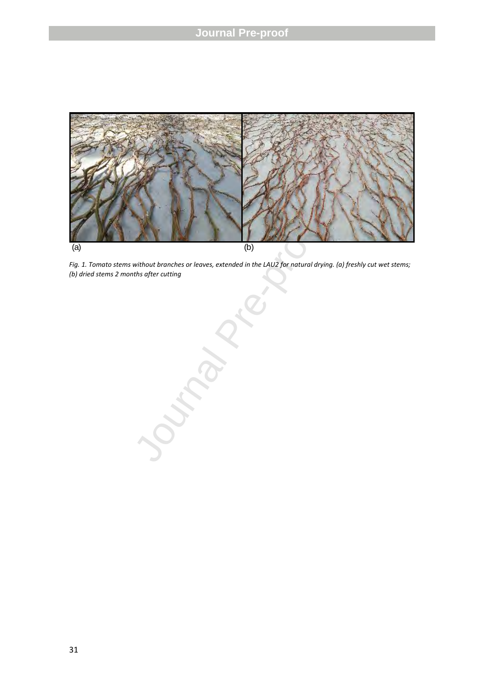

*Fig. 1. Tomato stems without branches or leaves, extended in the LAU2 for natural drying. (a) freshly cut wet stems; (b) dried stems 2 months after cutting* 

(b)<br>
without branches or leaves, extended in the<br>
"hs after cutting<br>
"<br>
A safe of the state of the state of the state of the state of the state of the state of the state of the state of the state of the state of the state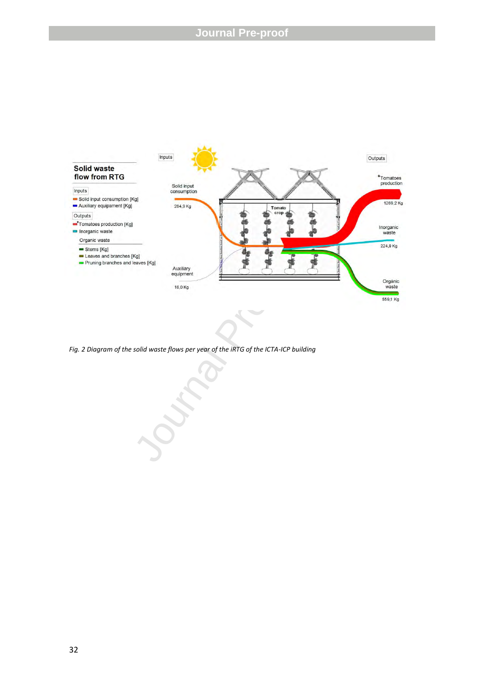

*Fig. 2 Diagram of the solid waste flows per year of the iRTG of the ICTA-ICP building*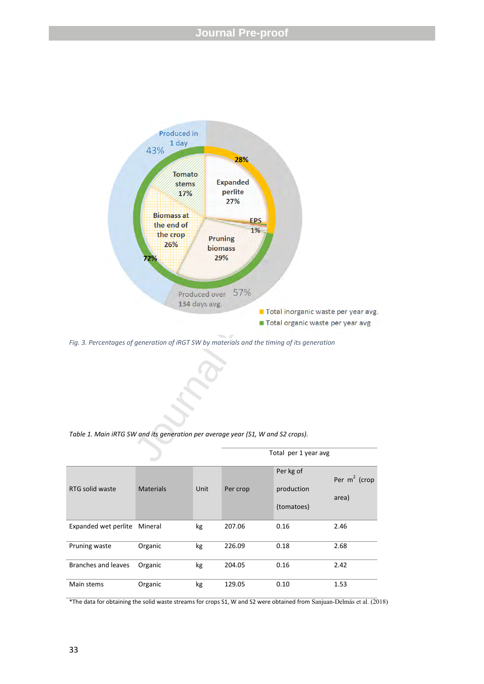

*Fig. 3 . Percentages of generation of iRGT SW by materials and the timing of its generation*

*Table 1. Main iRTG SW and its generation per average year (S1, W and S2 crops).* 

|                      |                  |      |          | Total per 1 year avg                  |                          |
|----------------------|------------------|------|----------|---------------------------------------|--------------------------|
| RTG solid waste      | <b>Materials</b> | Unit | Per crop | Per kg of<br>production<br>(tomatoes) | Per $m^2$ (crop<br>area) |
| Expanded wet perlite | Mineral          | kg   | 207.06   | 0.16                                  | 2.46                     |
| Pruning waste        | Organic          | kg   | 226.09   | 0.18                                  | 2.68                     |
| Branches and leaves  | Organic          | kg   | 204.05   | 0.16                                  | 2.42                     |
| Main stems           | Organic          | kg   | 129.05   | 0.10                                  | 1.53                     |

\*The data for obtaining the solid waste streams for crops S1, W and S2 were obtained from Sanjuan-Delmás et al. (2018)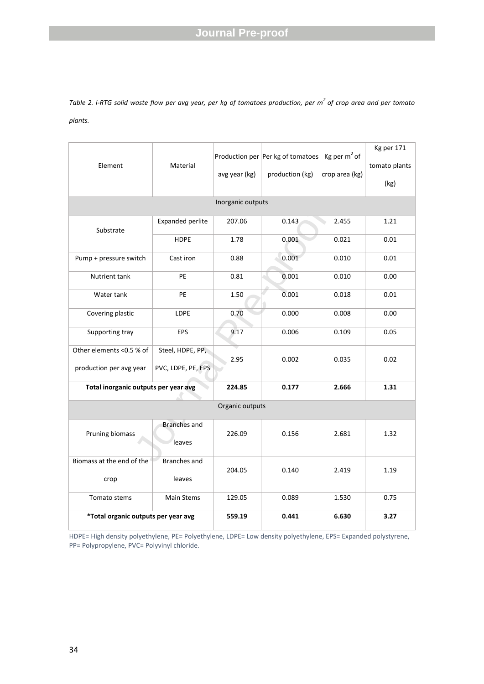*Table 2. i-RTG solid waste flow per avg year, per kg of tomatoes production, per m<sup>2</sup>of crop area and per tomato plants.* 

| Element                              | Material                      |               | Production per Per kg of tomatoes | Kg per $m2$ of | Kg per 171<br>tomato plants |  |  |  |  |
|--------------------------------------|-------------------------------|---------------|-----------------------------------|----------------|-----------------------------|--|--|--|--|
|                                      |                               | avg year (kg) | production (kg)                   | crop area (kg) | (kg)                        |  |  |  |  |
| Inorganic outputs                    |                               |               |                                   |                |                             |  |  |  |  |
| Substrate                            | Expanded perlite              | 207.06        | 0.143                             | 2.455          | 1.21                        |  |  |  |  |
|                                      | <b>HDPE</b>                   | 1.78          | 0.001                             | 0.021          | 0.01                        |  |  |  |  |
| Pump + pressure switch               | Cast iron                     | 0.88          | 0.001                             | 0.010          | 0.01                        |  |  |  |  |
| Nutrient tank                        | PE                            | 0.81          | 0.001                             | 0.010          | 0.00                        |  |  |  |  |
| Water tank                           | PE                            | 1.50          | 0.001                             | 0.018          | 0.01                        |  |  |  |  |
| Covering plastic                     | <b>LDPE</b>                   | 0.70          | 0.000                             | 0.008          | 0.00                        |  |  |  |  |
| Supporting tray                      | EPS                           | 9.17          | 0.006                             | 0.109          | 0.05                        |  |  |  |  |
| Other elements <0.5 % of             | Steel, HDPE, PP,              | 2.95          | 0.002                             | 0.035          | 0.02                        |  |  |  |  |
| production per avg year              | PVC, LDPE, PE, EPS            |               |                                   |                |                             |  |  |  |  |
| Total inorganic outputs per year avg |                               | 224.85        | 0.177                             | 2.666          | 1.31                        |  |  |  |  |
| Organic outputs                      |                               |               |                                   |                |                             |  |  |  |  |
| Pruning biomass                      | <b>Branches</b> and<br>leaves | 226.09        | 0.156                             | 2.681          | 1.32                        |  |  |  |  |
| Biomass at the end of the            | <b>Branches and</b>           | 204.05        | 0.140                             | 2.419          | 1.19                        |  |  |  |  |
| leaves<br>crop                       |                               |               |                                   |                |                             |  |  |  |  |
| Tomato stems                         | Main Stems                    | 129.05        | 0.089                             | 1.530          | 0.75                        |  |  |  |  |
| *Total organic outputs per year avg  |                               | 559.19        | 0.441                             | 6.630          | 3.27                        |  |  |  |  |

HDPE= High density polyethylene, PE= Polyethylene, LDPE= Low density polyethylene, EPS= Expanded polystyrene, PP= Polypropylene, PVC= Polyvinyl chloride.